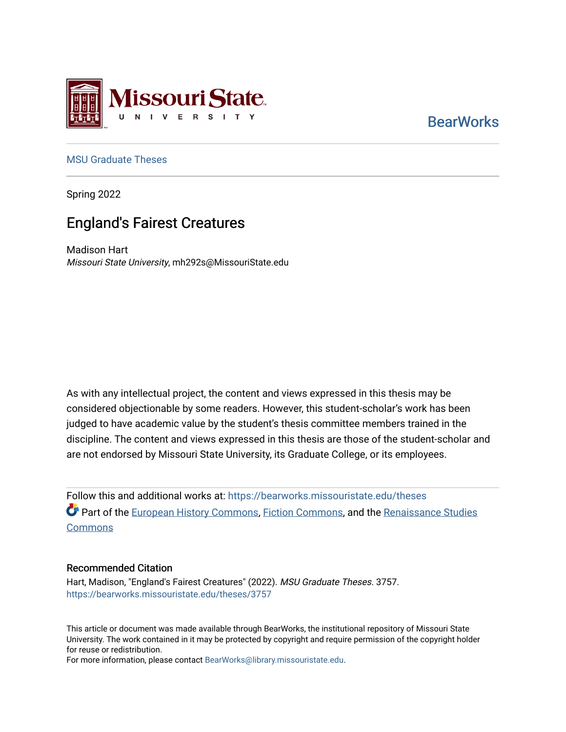

# **BearWorks**

## [MSU Graduate Theses](https://bearworks.missouristate.edu/theses)

Spring 2022

# **England's Fairest Creatures**

Madison Hart Missouri State University, mh292s@MissouriState.edu

As with any intellectual project, the content and views expressed in this thesis may be considered objectionable by some readers. However, this student-scholar's work has been judged to have academic value by the student's thesis committee members trained in the discipline. The content and views expressed in this thesis are those of the student-scholar and are not endorsed by Missouri State University, its Graduate College, or its employees.

Follow this and additional works at: [https://bearworks.missouristate.edu/theses](https://bearworks.missouristate.edu/theses?utm_source=bearworks.missouristate.edu%2Ftheses%2F3757&utm_medium=PDF&utm_campaign=PDFCoverPages)  **C** Part of the [European History Commons,](https://network.bepress.com/hgg/discipline/492?utm_source=bearworks.missouristate.edu%2Ftheses%2F3757&utm_medium=PDF&utm_campaign=PDFCoverPages) [Fiction Commons](https://network.bepress.com/hgg/discipline/1151?utm_source=bearworks.missouristate.edu%2Ftheses%2F3757&utm_medium=PDF&utm_campaign=PDFCoverPages), and the Renaissance Studies **Commons** 

#### Recommended Citation

Hart, Madison, "England's Fairest Creatures" (2022). MSU Graduate Theses. 3757. [https://bearworks.missouristate.edu/theses/3757](https://bearworks.missouristate.edu/theses/3757?utm_source=bearworks.missouristate.edu%2Ftheses%2F3757&utm_medium=PDF&utm_campaign=PDFCoverPages) 

This article or document was made available through BearWorks, the institutional repository of Missouri State University. The work contained in it may be protected by copyright and require permission of the copyright holder for reuse or redistribution.

For more information, please contact [BearWorks@library.missouristate.edu.](mailto:BearWorks@library.missouristate.edu)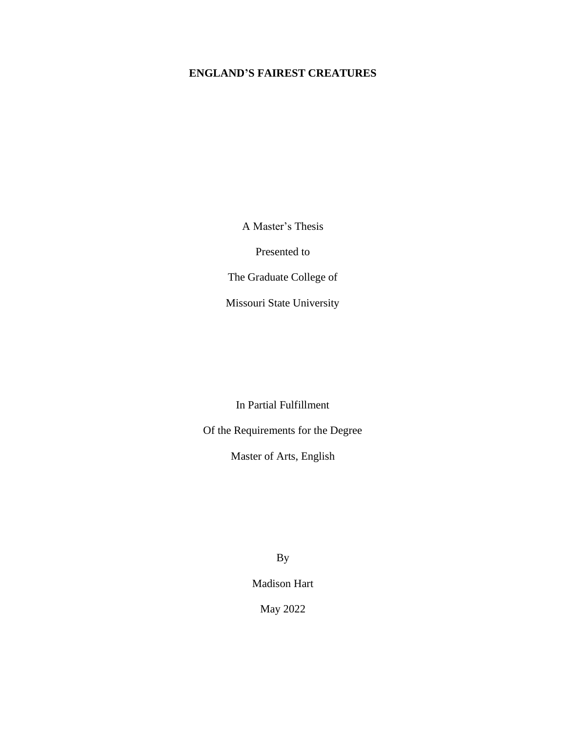# **ENGLAND'S FAIREST CREATURES**

A Master's Thesis

Presented to

The Graduate College of

Missouri State University

In Partial Fulfillment

Of the Requirements for the Degree

Master of Arts, English

By

Madison Hart

May 2022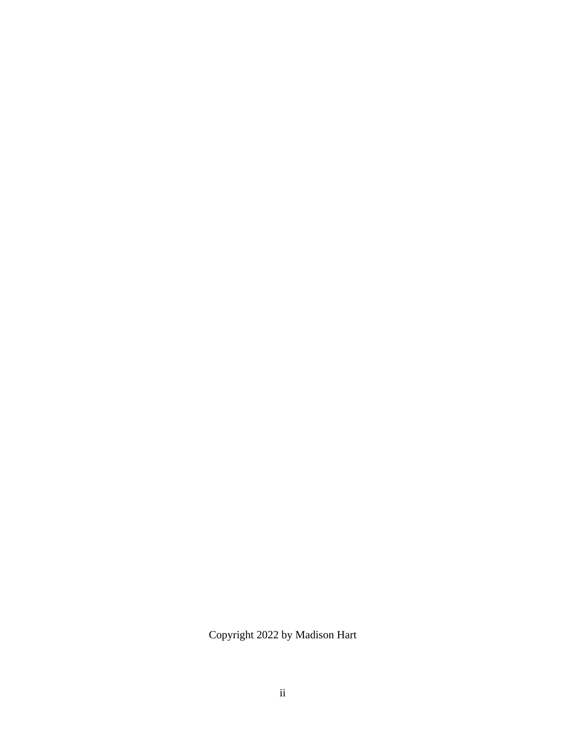Copyright 2022 by Madison Hart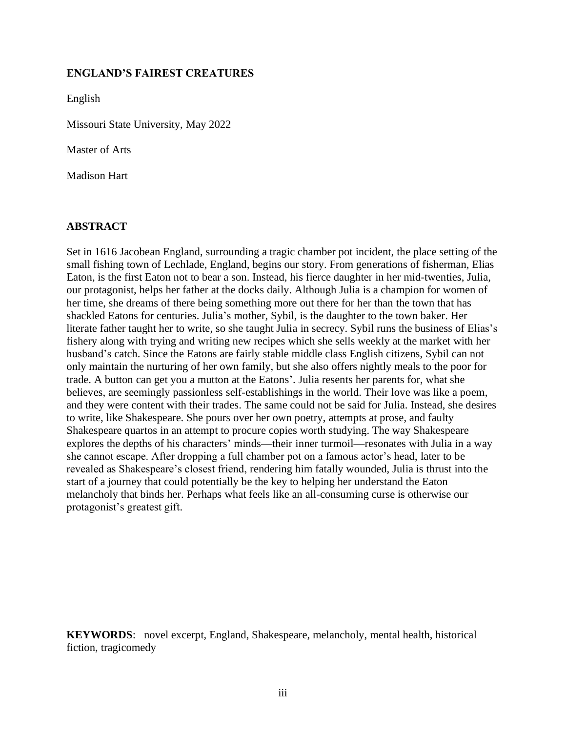# **ENGLAND'S FAIREST CREATURES**

English

Missouri State University, May 2022

Master of Arts

Madison Hart

# **ABSTRACT**

Set in 1616 Jacobean England, surrounding a tragic chamber pot incident, the place setting of the small fishing town of Lechlade, England, begins our story. From generations of fisherman, Elias Eaton, is the first Eaton not to bear a son. Instead, his fierce daughter in her mid-twenties, Julia, our protagonist, helps her father at the docks daily. Although Julia is a champion for women of her time, she dreams of there being something more out there for her than the town that has shackled Eatons for centuries. Julia's mother, Sybil, is the daughter to the town baker. Her literate father taught her to write, so she taught Julia in secrecy. Sybil runs the business of Elias's fishery along with trying and writing new recipes which she sells weekly at the market with her husband's catch. Since the Eatons are fairly stable middle class English citizens, Sybil can not only maintain the nurturing of her own family, but she also offers nightly meals to the poor for trade. A button can get you a mutton at the Eatons'. Julia resents her parents for, what she believes, are seemingly passionless self-establishings in the world. Their love was like a poem, and they were content with their trades. The same could not be said for Julia. Instead, she desires to write, like Shakespeare. She pours over her own poetry, attempts at prose, and faulty Shakespeare quartos in an attempt to procure copies worth studying. The way Shakespeare explores the depths of his characters' minds—their inner turmoil—resonates with Julia in a way she cannot escape. After dropping a full chamber pot on a famous actor's head, later to be revealed as Shakespeare's closest friend, rendering him fatally wounded, Julia is thrust into the start of a journey that could potentially be the key to helping her understand the Eaton melancholy that binds her. Perhaps what feels like an all-consuming curse is otherwise our protagonist's greatest gift.

**KEYWORDS**: novel excerpt, England, Shakespeare, melancholy, mental health, historical fiction, tragicomedy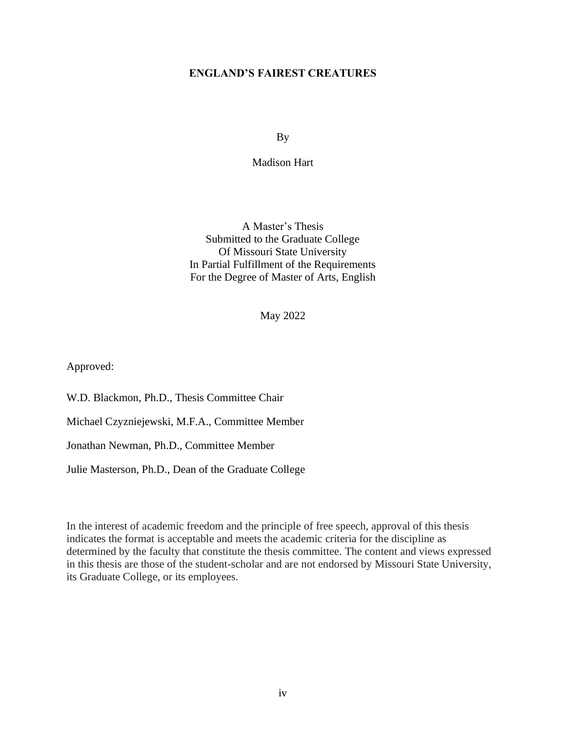# **ENGLAND'S FAIREST CREATURES**

By

Madison Hart

A Master's Thesis Submitted to the Graduate College Of Missouri State University In Partial Fulfillment of the Requirements For the Degree of Master of Arts, English

May 2022

Approved:

W.D. Blackmon, Ph.D., Thesis Committee Chair Michael Czyzniejewski, M.F.A., Committee Member Jonathan Newman, Ph.D., Committee Member Julie Masterson, Ph.D., Dean of the Graduate College

In the interest of academic freedom and the principle of free speech, approval of this thesis indicates the format is acceptable and meets the academic criteria for the discipline as determined by the faculty that constitute the thesis committee. The content and views expressed in this thesis are those of the student-scholar and are not endorsed by Missouri State University, its Graduate College, or its employees.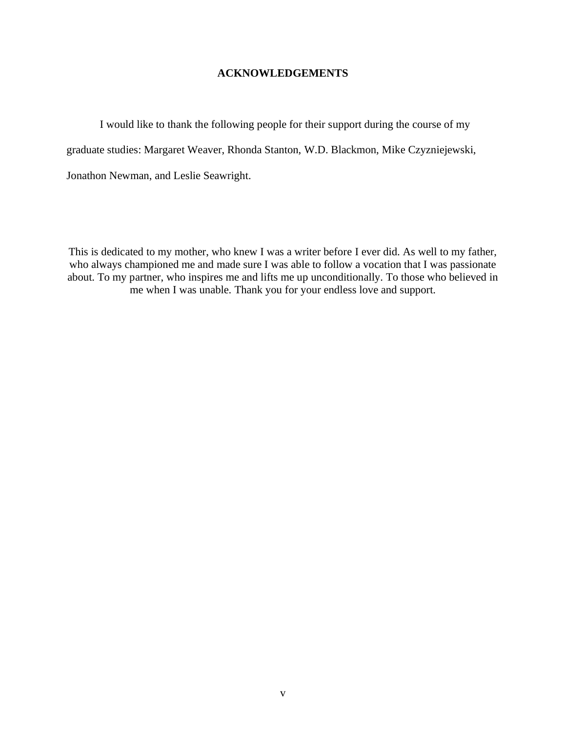## **ACKNOWLEDGEMENTS**

I would like to thank the following people for their support during the course of my

graduate studies: Margaret Weaver, Rhonda Stanton, W.D. Blackmon, Mike Czyzniejewski,

Jonathon Newman, and Leslie Seawright.

This is dedicated to my mother, who knew I was a writer before I ever did. As well to my father, who always championed me and made sure I was able to follow a vocation that I was passionate about. To my partner, who inspires me and lifts me up unconditionally. To those who believed in me when I was unable. Thank you for your endless love and support.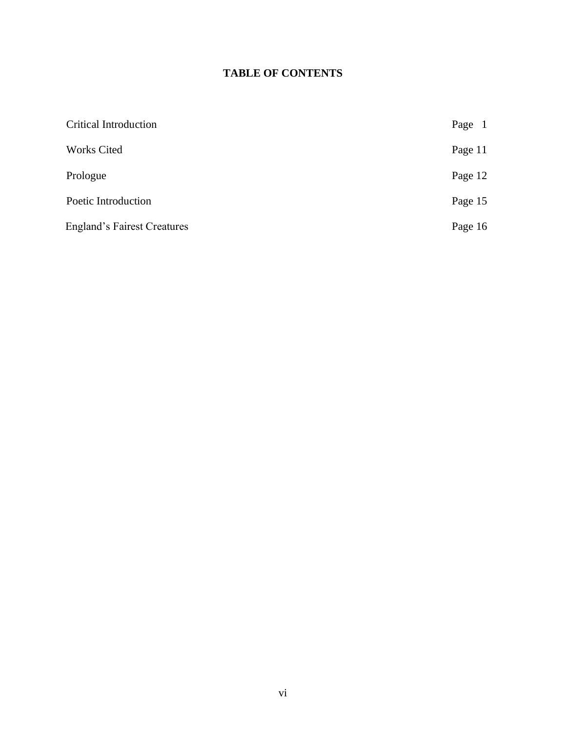# **TABLE OF CONTENTS**

| <b>Critical Introduction</b>       | Page<br>- 1 |
|------------------------------------|-------------|
| <b>Works Cited</b>                 | Page 11     |
| Prologue                           | Page 12     |
| Poetic Introduction                | Page 15     |
| <b>England's Fairest Creatures</b> | Page 16     |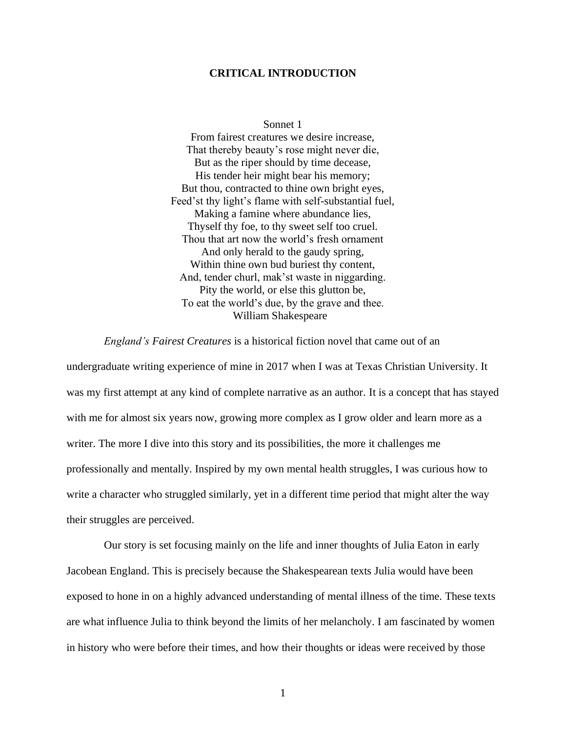## **CRITICAL INTRODUCTION**

Sonnet 1

From fairest creatures we desire increase, That thereby beauty's rose might never die, But as the riper should by time decease, His tender heir might bear his memory; But thou, contracted to thine own bright eyes, Feed'st thy light's flame with self-substantial fuel, Making a famine where abundance lies, Thyself thy foe, to thy sweet self too cruel. Thou that art now the world's fresh ornament And only herald to the gaudy spring, Within thine own bud buriest thy content, And, tender churl, mak'st waste in niggarding. Pity the world, or else this glutton be, To eat the world's due, by the grave and thee. William Shakespeare

## *England's Fairest Creatures* is a historical fiction novel that came out of an

undergraduate writing experience of mine in 2017 when I was at Texas Christian University. It was my first attempt at any kind of complete narrative as an author. It is a concept that has stayed with me for almost six years now, growing more complex as I grow older and learn more as a writer. The more I dive into this story and its possibilities, the more it challenges me professionally and mentally. Inspired by my own mental health struggles, I was curious how to write a character who struggled similarly, yet in a different time period that might alter the way their struggles are perceived.

Our story is set focusing mainly on the life and inner thoughts of Julia Eaton in early Jacobean England. This is precisely because the Shakespearean texts Julia would have been exposed to hone in on a highly advanced understanding of mental illness of the time. These texts are what influence Julia to think beyond the limits of her melancholy. I am fascinated by women in history who were before their times, and how their thoughts or ideas were received by those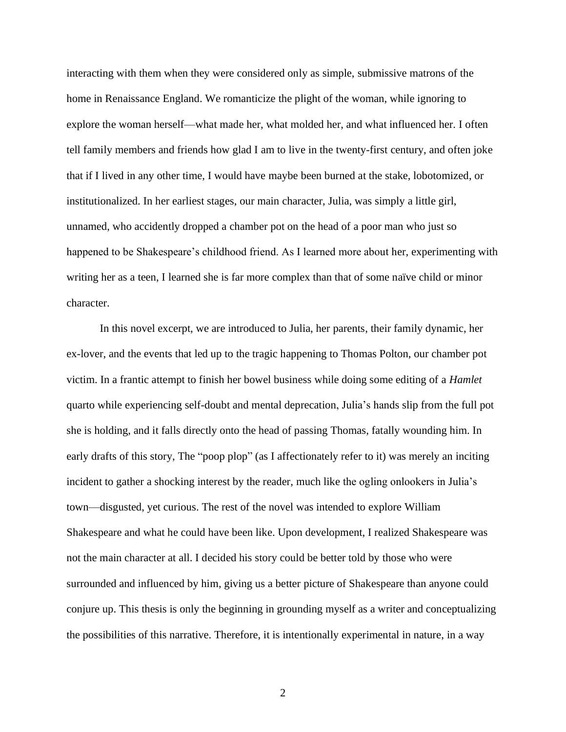interacting with them when they were considered only as simple, submissive matrons of the home in Renaissance England. We romanticize the plight of the woman, while ignoring to explore the woman herself—what made her, what molded her, and what influenced her. I often tell family members and friends how glad I am to live in the twenty-first century, and often joke that if I lived in any other time, I would have maybe been burned at the stake, lobotomized, or institutionalized. In her earliest stages, our main character, Julia, was simply a little girl, unnamed, who accidently dropped a chamber pot on the head of a poor man who just so happened to be Shakespeare's childhood friend. As I learned more about her, experimenting with writing her as a teen, I learned she is far more complex than that of some naïve child or minor character.

In this novel excerpt, we are introduced to Julia, her parents, their family dynamic, her ex-lover, and the events that led up to the tragic happening to Thomas Polton, our chamber pot victim. In a frantic attempt to finish her bowel business while doing some editing of a *Hamlet* quarto while experiencing self-doubt and mental deprecation, Julia's hands slip from the full pot she is holding, and it falls directly onto the head of passing Thomas, fatally wounding him. In early drafts of this story, The "poop plop" (as I affectionately refer to it) was merely an inciting incident to gather a shocking interest by the reader, much like the ogling onlookers in Julia's town—disgusted, yet curious. The rest of the novel was intended to explore William Shakespeare and what he could have been like. Upon development, I realized Shakespeare was not the main character at all. I decided his story could be better told by those who were surrounded and influenced by him, giving us a better picture of Shakespeare than anyone could conjure up. This thesis is only the beginning in grounding myself as a writer and conceptualizing the possibilities of this narrative. Therefore, it is intentionally experimental in nature, in a way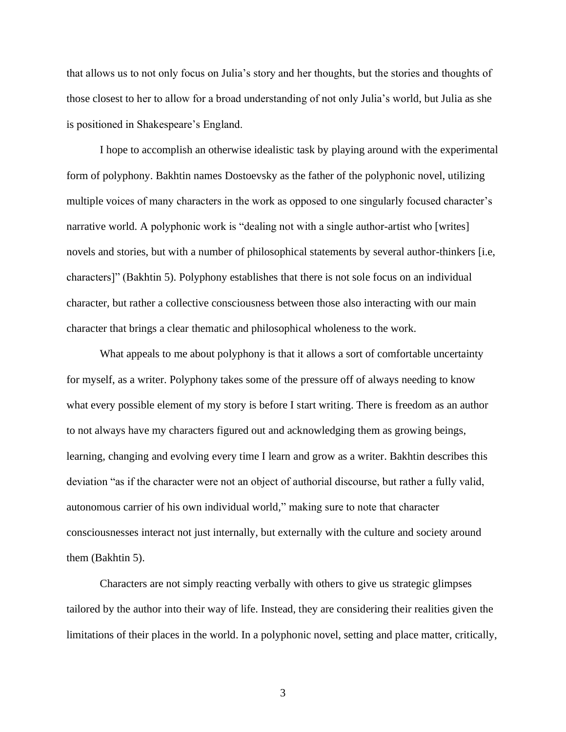that allows us to not only focus on Julia's story and her thoughts, but the stories and thoughts of those closest to her to allow for a broad understanding of not only Julia's world, but Julia as she is positioned in Shakespeare's England.

I hope to accomplish an otherwise idealistic task by playing around with the experimental form of polyphony. Bakhtin names Dostoevsky as the father of the polyphonic novel, utilizing multiple voices of many characters in the work as opposed to one singularly focused character's narrative world. A polyphonic work is "dealing not with a single author-artist who [writes] novels and stories, but with a number of philosophical statements by several author-thinkers [i.e, characters]" (Bakhtin 5). Polyphony establishes that there is not sole focus on an individual character, but rather a collective consciousness between those also interacting with our main character that brings a clear thematic and philosophical wholeness to the work.

What appeals to me about polyphony is that it allows a sort of comfortable uncertainty for myself, as a writer. Polyphony takes some of the pressure off of always needing to know what every possible element of my story is before I start writing. There is freedom as an author to not always have my characters figured out and acknowledging them as growing beings, learning, changing and evolving every time I learn and grow as a writer. Bakhtin describes this deviation "as if the character were not an object of authorial discourse, but rather a fully valid, autonomous carrier of his own individual world," making sure to note that character consciousnesses interact not just internally, but externally with the culture and society around them (Bakhtin 5).

Characters are not simply reacting verbally with others to give us strategic glimpses tailored by the author into their way of life. Instead, they are considering their realities given the limitations of their places in the world. In a polyphonic novel, setting and place matter, critically,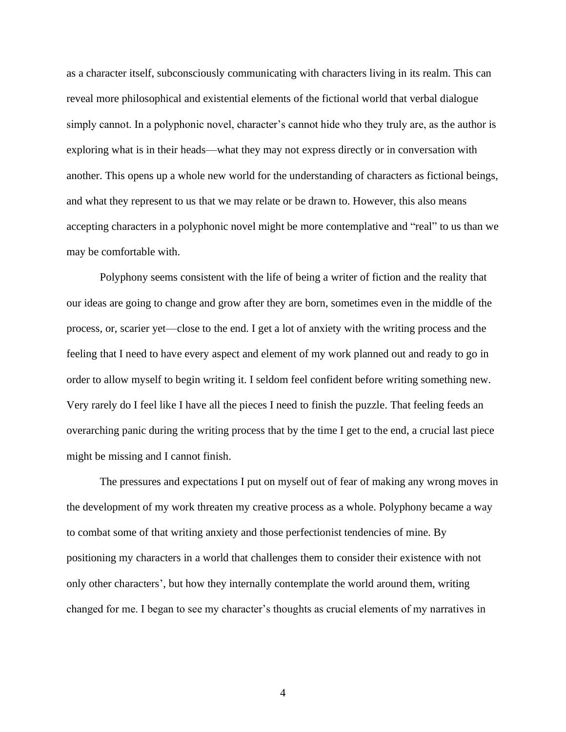as a character itself, subconsciously communicating with characters living in its realm. This can reveal more philosophical and existential elements of the fictional world that verbal dialogue simply cannot. In a polyphonic novel, character's cannot hide who they truly are, as the author is exploring what is in their heads—what they may not express directly or in conversation with another. This opens up a whole new world for the understanding of characters as fictional beings, and what they represent to us that we may relate or be drawn to. However, this also means accepting characters in a polyphonic novel might be more contemplative and "real" to us than we may be comfortable with.

Polyphony seems consistent with the life of being a writer of fiction and the reality that our ideas are going to change and grow after they are born, sometimes even in the middle of the process, or, scarier yet—close to the end. I get a lot of anxiety with the writing process and the feeling that I need to have every aspect and element of my work planned out and ready to go in order to allow myself to begin writing it. I seldom feel confident before writing something new. Very rarely do I feel like I have all the pieces I need to finish the puzzle. That feeling feeds an overarching panic during the writing process that by the time I get to the end, a crucial last piece might be missing and I cannot finish.

The pressures and expectations I put on myself out of fear of making any wrong moves in the development of my work threaten my creative process as a whole. Polyphony became a way to combat some of that writing anxiety and those perfectionist tendencies of mine. By positioning my characters in a world that challenges them to consider their existence with not only other characters', but how they internally contemplate the world around them, writing changed for me. I began to see my character's thoughts as crucial elements of my narratives in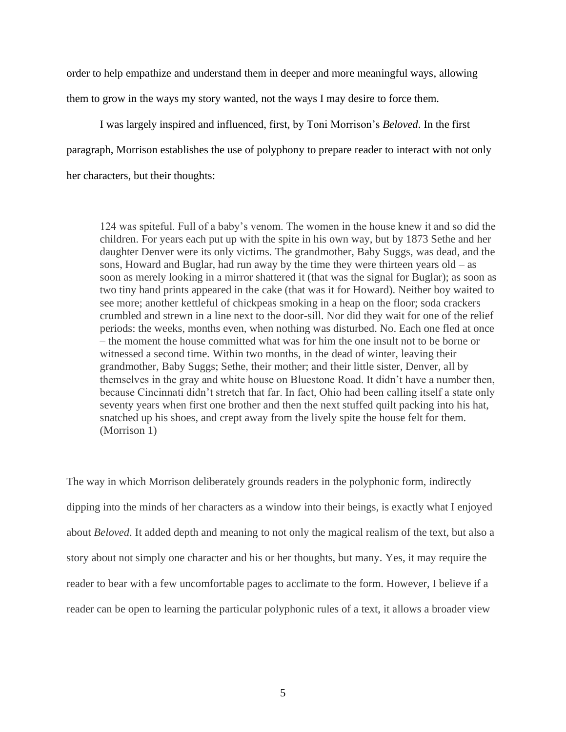order to help empathize and understand them in deeper and more meaningful ways, allowing them to grow in the ways my story wanted, not the ways I may desire to force them.

I was largely inspired and influenced, first, by Toni Morrison's *Beloved*. In the first paragraph, Morrison establishes the use of polyphony to prepare reader to interact with not only her characters, but their thoughts:

124 was spiteful. Full of a baby's venom. The women in the house knew it and so did the children. For years each put up with the spite in his own way, but by 1873 Sethe and her daughter Denver were its only victims. The grandmother, Baby Suggs, was dead, and the sons, Howard and Buglar, had run away by the time they were thirteen years old – as soon as merely looking in a mirror shattered it (that was the signal for Buglar); as soon as two tiny hand prints appeared in the cake (that was it for Howard). Neither boy waited to see more; another kettleful of chickpeas smoking in a heap on the floor; soda crackers crumbled and strewn in a line next to the door-sill. Nor did they wait for one of the relief periods: the weeks, months even, when nothing was disturbed. No. Each one fled at once – the moment the house committed what was for him the one insult not to be borne or witnessed a second time. Within two months, in the dead of winter, leaving their grandmother, Baby Suggs; Sethe, their mother; and their little sister, Denver, all by themselves in the gray and white house on Bluestone Road. It didn't have a number then, because Cincinnati didn't stretch that far. In fact, Ohio had been calling itself a state only seventy years when first one brother and then the next stuffed quilt packing into his hat, snatched up his shoes, and crept away from the lively spite the house felt for them. (Morrison 1)

The way in which Morrison deliberately grounds readers in the polyphonic form, indirectly dipping into the minds of her characters as a window into their beings, is exactly what I enjoyed about *Beloved*. It added depth and meaning to not only the magical realism of the text, but also a story about not simply one character and his or her thoughts, but many. Yes, it may require the reader to bear with a few uncomfortable pages to acclimate to the form. However, I believe if a reader can be open to learning the particular polyphonic rules of a text, it allows a broader view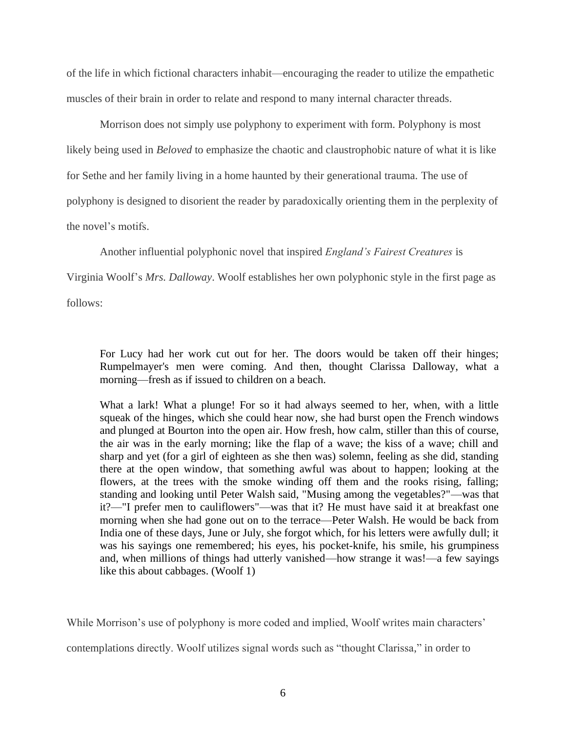of the life in which fictional characters inhabit—encouraging the reader to utilize the empathetic muscles of their brain in order to relate and respond to many internal character threads.

Morrison does not simply use polyphony to experiment with form. Polyphony is most likely being used in *Beloved* to emphasize the chaotic and claustrophobic nature of what it is like for Sethe and her family living in a home haunted by their generational trauma. The use of polyphony is designed to disorient the reader by paradoxically orienting them in the perplexity of the novel's motifs.

Another influential polyphonic novel that inspired *England's Fairest Creatures* is

Virginia Woolf's *Mrs. Dalloway*. Woolf establishes her own polyphonic style in the first page as follows:

For Lucy had her work cut out for her. The doors would be taken off their hinges; Rumpelmayer's men were coming. And then, thought Clarissa Dalloway, what a morning—fresh as if issued to children on a beach.

What a lark! What a plunge! For so it had always seemed to her, when, with a little squeak of the hinges, which she could hear now, she had burst open the French windows and plunged at Bourton into the open air. How fresh, how calm, stiller than this of course, the air was in the early morning; like the flap of a wave; the kiss of a wave; chill and sharp and yet (for a girl of eighteen as she then was) solemn, feeling as she did, standing there at the open window, that something awful was about to happen; looking at the flowers, at the trees with the smoke winding off them and the rooks rising, falling; standing and looking until Peter Walsh said, "Musing among the vegetables?"—was that it?—"I prefer men to cauliflowers"—was that it? He must have said it at breakfast one morning when she had gone out on to the terrace—Peter Walsh. He would be back from India one of these days, June or July, she forgot which, for his letters were awfully dull; it was his sayings one remembered; his eyes, his pocket-knife, his smile, his grumpiness and, when millions of things had utterly vanished—how strange it was!—a few sayings like this about cabbages. (Woolf 1)

While Morrison's use of polyphony is more coded and implied, Woolf writes main characters' contemplations directly. Woolf utilizes signal words such as "thought Clarissa," in order to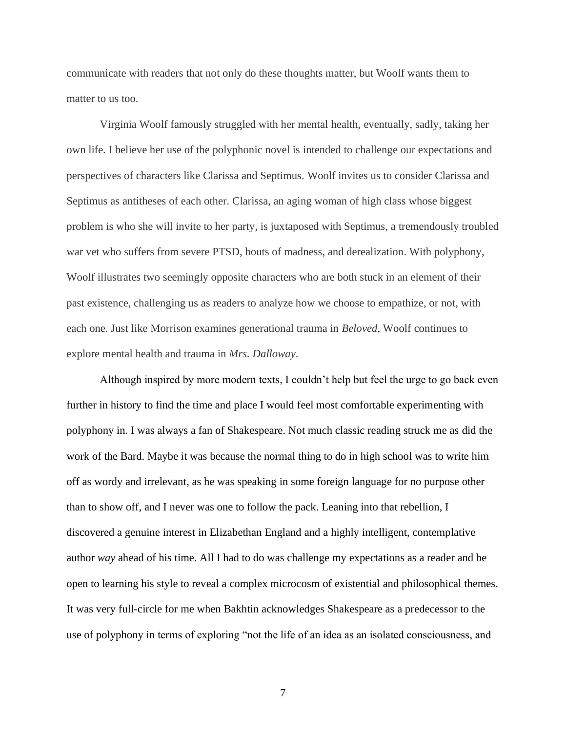communicate with readers that not only do these thoughts matter, but Woolf wants them to matter to us too.

Virginia Woolf famously struggled with her mental health, eventually, sadly, taking her own life. I believe her use of the polyphonic novel is intended to challenge our expectations and perspectives of characters like Clarissa and Septimus. Woolf invites us to consider Clarissa and Septimus as antitheses of each other. Clarissa, an aging woman of high class whose biggest problem is who she will invite to her party, is juxtaposed with Septimus, a tremendously troubled war vet who suffers from severe PTSD, bouts of madness, and derealization. With polyphony, Woolf illustrates two seemingly opposite characters who are both stuck in an element of their past existence, challenging us as readers to analyze how we choose to empathize, or not, with each one. Just like Morrison examines generational trauma in *Beloved*, Woolf continues to explore mental health and trauma in *Mrs. Dalloway*.

Although inspired by more modern texts, I couldn't help but feel the urge to go back even further in history to find the time and place I would feel most comfortable experimenting with polyphony in. I was always a fan of Shakespeare. Not much classic reading struck me as did the work of the Bard. Maybe it was because the normal thing to do in high school was to write him off as wordy and irrelevant, as he was speaking in some foreign language for no purpose other than to show off, and I never was one to follow the pack. Leaning into that rebellion, I discovered a genuine interest in Elizabethan England and a highly intelligent, contemplative author *way* ahead of his time. All I had to do was challenge my expectations as a reader and be open to learning his style to reveal a complex microcosm of existential and philosophical themes. It was very full-circle for me when Bakhtin acknowledges Shakespeare as a predecessor to the use of polyphony in terms of exploring "not the life of an idea as an isolated consciousness, and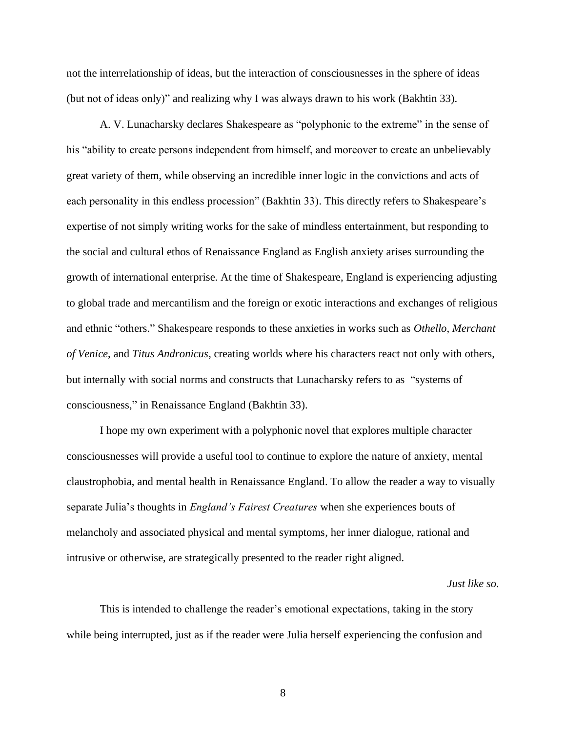not the interrelationship of ideas, but the interaction of consciousnesses in the sphere of ideas (but not of ideas only)" and realizing why I was always drawn to his work (Bakhtin 33).

A. V. Lunacharsky declares Shakespeare as "polyphonic to the extreme" in the sense of his "ability to create persons independent from himself, and moreover to create an unbelievably great variety of them, while observing an incredible inner logic in the convictions and acts of each personality in this endless procession" (Bakhtin 33). This directly refers to Shakespeare's expertise of not simply writing works for the sake of mindless entertainment, but responding to the social and cultural ethos of Renaissance England as English anxiety arises surrounding the growth of international enterprise. At the time of Shakespeare, England is experiencing adjusting to global trade and mercantilism and the foreign or exotic interactions and exchanges of religious and ethnic "others." Shakespeare responds to these anxieties in works such as *Othello*, *Merchant of Venice*, and *Titus Andronicus*, creating worlds where his characters react not only with others, but internally with social norms and constructs that Lunacharsky refers to as "systems of consciousness," in Renaissance England (Bakhtin 33).

I hope my own experiment with a polyphonic novel that explores multiple character consciousnesses will provide a useful tool to continue to explore the nature of anxiety, mental claustrophobia, and mental health in Renaissance England. To allow the reader a way to visually separate Julia's thoughts in *England's Fairest Creatures* when she experiences bouts of melancholy and associated physical and mental symptoms, her inner dialogue, rational and intrusive or otherwise, are strategically presented to the reader right aligned.

*Just like so.*

This is intended to challenge the reader's emotional expectations, taking in the story while being interrupted, just as if the reader were Julia herself experiencing the confusion and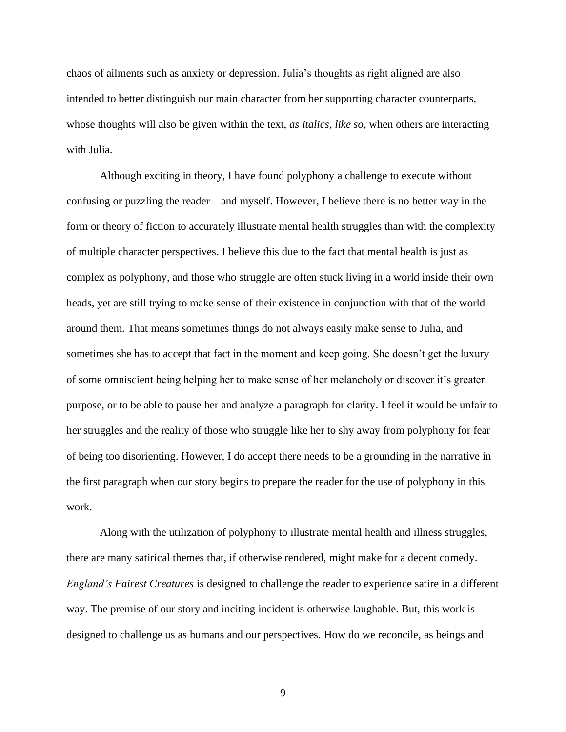chaos of ailments such as anxiety or depression. Julia's thoughts as right aligned are also intended to better distinguish our main character from her supporting character counterparts, whose thoughts will also be given within the text, *as italics, like so,* when others are interacting with Julia.

Although exciting in theory, I have found polyphony a challenge to execute without confusing or puzzling the reader—and myself. However, I believe there is no better way in the form or theory of fiction to accurately illustrate mental health struggles than with the complexity of multiple character perspectives. I believe this due to the fact that mental health is just as complex as polyphony, and those who struggle are often stuck living in a world inside their own heads, yet are still trying to make sense of their existence in conjunction with that of the world around them. That means sometimes things do not always easily make sense to Julia, and sometimes she has to accept that fact in the moment and keep going. She doesn't get the luxury of some omniscient being helping her to make sense of her melancholy or discover it's greater purpose, or to be able to pause her and analyze a paragraph for clarity. I feel it would be unfair to her struggles and the reality of those who struggle like her to shy away from polyphony for fear of being too disorienting. However, I do accept there needs to be a grounding in the narrative in the first paragraph when our story begins to prepare the reader for the use of polyphony in this work.

Along with the utilization of polyphony to illustrate mental health and illness struggles, there are many satirical themes that, if otherwise rendered, might make for a decent comedy. *England's Fairest Creatures* is designed to challenge the reader to experience satire in a different way. The premise of our story and inciting incident is otherwise laughable. But, this work is designed to challenge us as humans and our perspectives. How do we reconcile, as beings and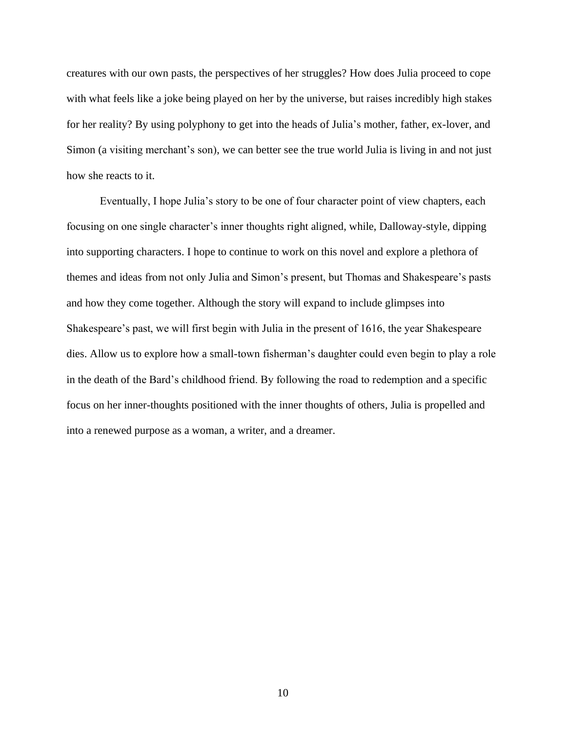creatures with our own pasts, the perspectives of her struggles? How does Julia proceed to cope with what feels like a joke being played on her by the universe, but raises incredibly high stakes for her reality? By using polyphony to get into the heads of Julia's mother, father, ex-lover, and Simon (a visiting merchant's son), we can better see the true world Julia is living in and not just how she reacts to it.

Eventually, I hope Julia's story to be one of four character point of view chapters, each focusing on one single character's inner thoughts right aligned, while, Dalloway-style, dipping into supporting characters. I hope to continue to work on this novel and explore a plethora of themes and ideas from not only Julia and Simon's present, but Thomas and Shakespeare's pasts and how they come together. Although the story will expand to include glimpses into Shakespeare's past, we will first begin with Julia in the present of 1616, the year Shakespeare dies. Allow us to explore how a small-town fisherman's daughter could even begin to play a role in the death of the Bard's childhood friend. By following the road to redemption and a specific focus on her inner-thoughts positioned with the inner thoughts of others, Julia is propelled and into a renewed purpose as a woman, a writer, and a dreamer.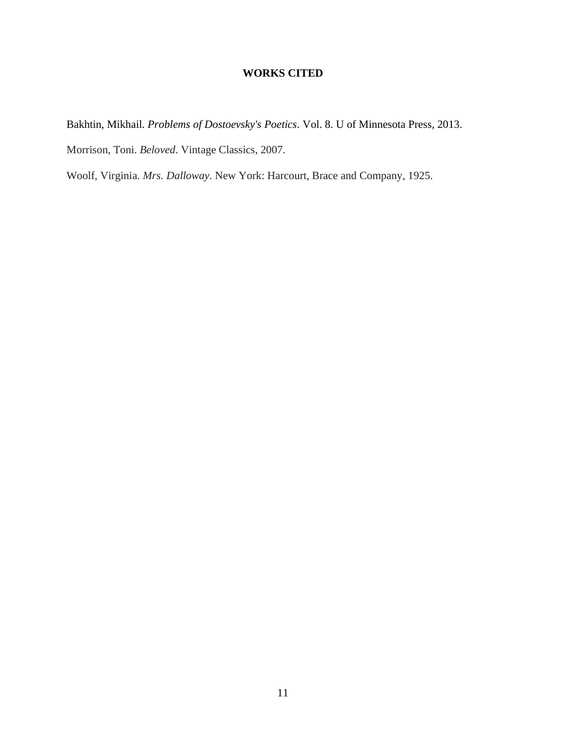# **WORKS CITED**

Bakhtin, Mikhail. *Problems of Dostoevsky's Poetics*. Vol. 8. U of Minnesota Press, 2013. Morrison, Toni. *Beloved*. Vintage Classics, 2007.

Woolf, Virginia. *Mrs. Dalloway*. New York: Harcourt, Brace and Company, 1925.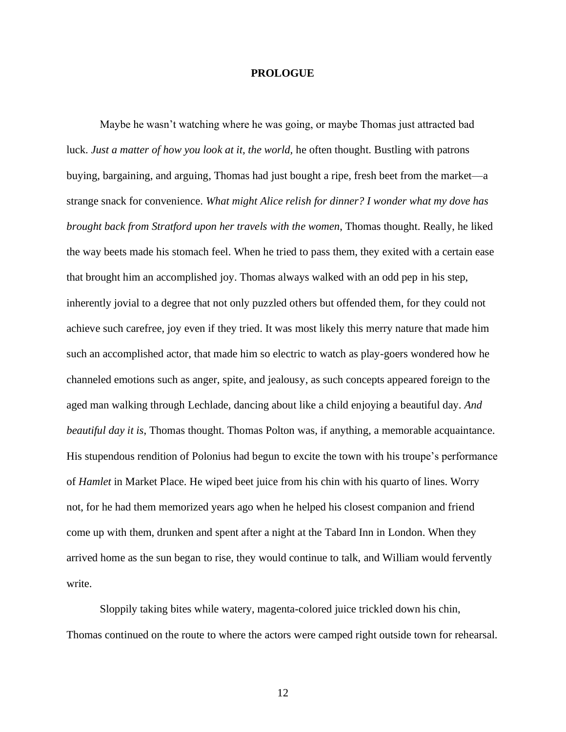## **PROLOGUE**

Maybe he wasn't watching where he was going, or maybe Thomas just attracted bad luck. *Just a matter of how you look at it, the world,* he often thought. Bustling with patrons buying, bargaining, and arguing, Thomas had just bought a ripe, fresh beet from the market—a strange snack for convenience. *What might Alice relish for dinner? I wonder what my dove has brought back from Stratford upon her travels with the women*, Thomas thought. Really, he liked the way beets made his stomach feel. When he tried to pass them, they exited with a certain ease that brought him an accomplished joy. Thomas always walked with an odd pep in his step, inherently jovial to a degree that not only puzzled others but offended them, for they could not achieve such carefree, joy even if they tried. It was most likely this merry nature that made him such an accomplished actor, that made him so electric to watch as play-goers wondered how he channeled emotions such as anger, spite, and jealousy, as such concepts appeared foreign to the aged man walking through Lechlade, dancing about like a child enjoying a beautiful day. *And beautiful day it is*, Thomas thought. Thomas Polton was, if anything, a memorable acquaintance. His stupendous rendition of Polonius had begun to excite the town with his troupe's performance of *Hamlet* in Market Place. He wiped beet juice from his chin with his quarto of lines. Worry not, for he had them memorized years ago when he helped his closest companion and friend come up with them, drunken and spent after a night at the Tabard Inn in London. When they arrived home as the sun began to rise, they would continue to talk, and William would fervently write.

Sloppily taking bites while watery, magenta-colored juice trickled down his chin, Thomas continued on the route to where the actors were camped right outside town for rehearsal.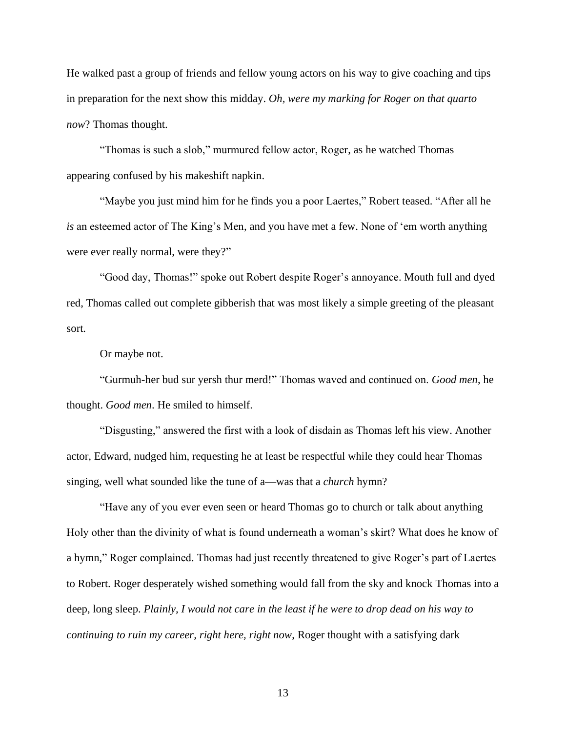He walked past a group of friends and fellow young actors on his way to give coaching and tips in preparation for the next show this midday. *Oh, were my marking for Roger on that quarto now*? Thomas thought.

"Thomas is such a slob," murmured fellow actor, Roger, as he watched Thomas appearing confused by his makeshift napkin.

"Maybe you just mind him for he finds you a poor Laertes," Robert teased. "After all he *is* an esteemed actor of The King's Men, and you have met a few. None of 'em worth anything were ever really normal, were they?"

"Good day, Thomas!" spoke out Robert despite Roger's annoyance. Mouth full and dyed red, Thomas called out complete gibberish that was most likely a simple greeting of the pleasant sort.

Or maybe not.

"Gurmuh-her bud sur yersh thur merd!" Thomas waved and continued on. *Good men*, he thought. *Good men*. He smiled to himself.

"Disgusting," answered the first with a look of disdain as Thomas left his view. Another actor, Edward, nudged him, requesting he at least be respectful while they could hear Thomas singing, well what sounded like the tune of a—was that a *church* hymn?

"Have any of you ever even seen or heard Thomas go to church or talk about anything Holy other than the divinity of what is found underneath a woman's skirt? What does he know of a hymn," Roger complained. Thomas had just recently threatened to give Roger's part of Laertes to Robert. Roger desperately wished something would fall from the sky and knock Thomas into a deep, long sleep. *Plainly, I would not care in the least if he were to drop dead on his way to continuing to ruin my career, right here, right now*, Roger thought with a satisfying dark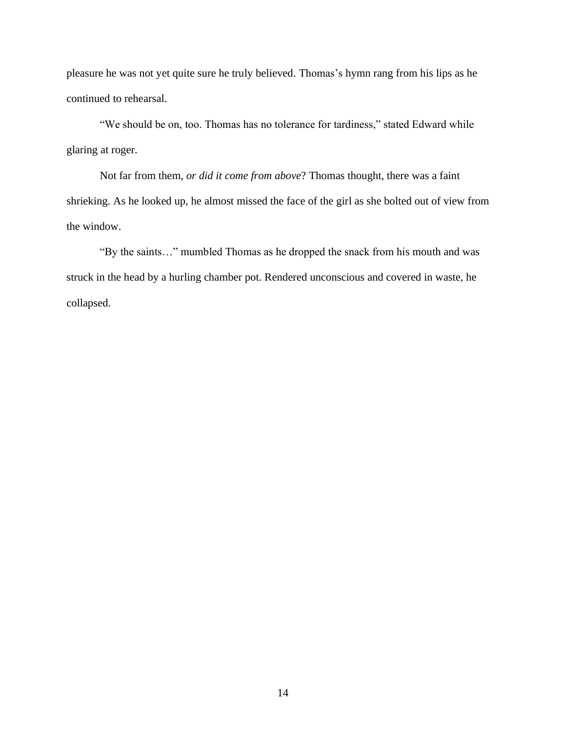pleasure he was not yet quite sure he truly believed. Thomas's hymn rang from his lips as he continued to rehearsal.

"We should be on, too. Thomas has no tolerance for tardiness," stated Edward while glaring at roger.

Not far from them, *or did it come from above*? Thomas thought, there was a faint shrieking. As he looked up, he almost missed the face of the girl as she bolted out of view from the window.

"By the saints…" mumbled Thomas as he dropped the snack from his mouth and was struck in the head by a hurling chamber pot. Rendered unconscious and covered in waste, he collapsed.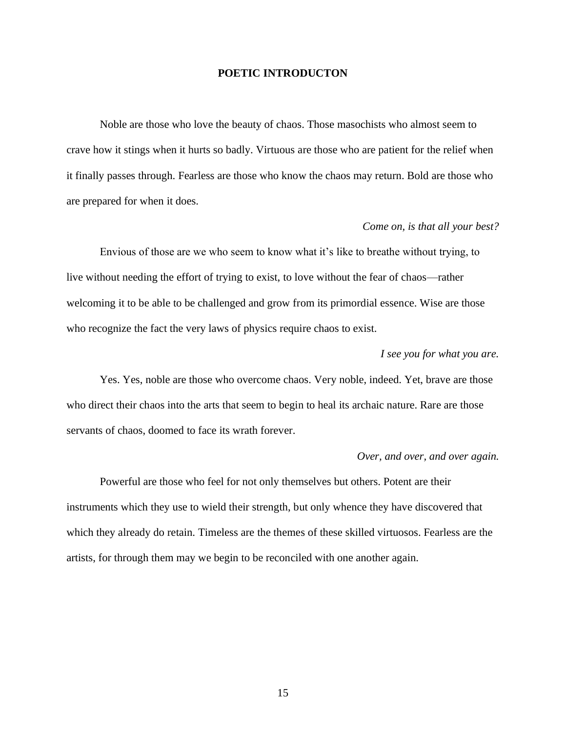### **POETIC INTRODUCTON**

Noble are those who love the beauty of chaos. Those masochists who almost seem to crave how it stings when it hurts so badly. Virtuous are those who are patient for the relief when it finally passes through. Fearless are those who know the chaos may return. Bold are those who are prepared for when it does.

#### *Come on, is that all your best?*

Envious of those are we who seem to know what it's like to breathe without trying, to live without needing the effort of trying to exist, to love without the fear of chaos—rather welcoming it to be able to be challenged and grow from its primordial essence. Wise are those who recognize the fact the very laws of physics require chaos to exist.

#### *I see you for what you are.*

Yes. Yes, noble are those who overcome chaos. Very noble, indeed. Yet, brave are those who direct their chaos into the arts that seem to begin to heal its archaic nature. Rare are those servants of chaos, doomed to face its wrath forever.

#### *Over, and over, and over again.*

Powerful are those who feel for not only themselves but others. Potent are their instruments which they use to wield their strength, but only whence they have discovered that which they already do retain. Timeless are the themes of these skilled virtuosos. Fearless are the artists, for through them may we begin to be reconciled with one another again.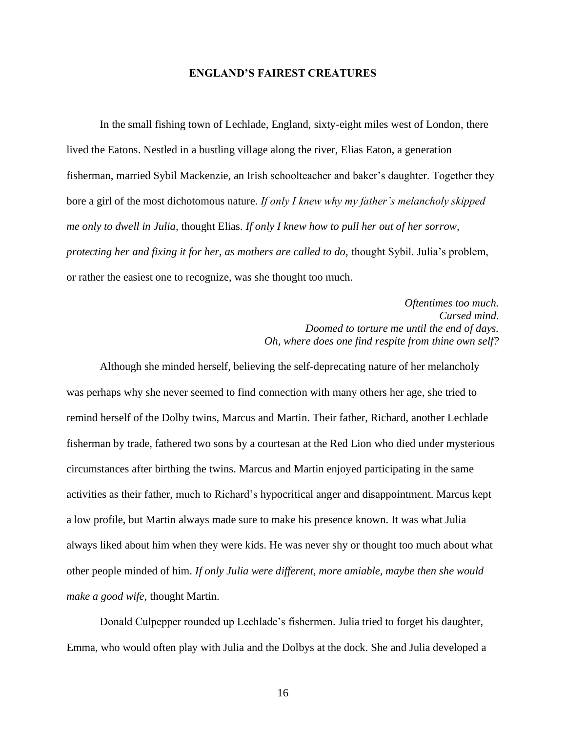### **ENGLAND'S FAIREST CREATURES**

In the small fishing town of Lechlade, England, sixty-eight miles west of London, there lived the Eatons. Nestled in a bustling village along the river, Elias Eaton, a generation fisherman, married Sybil Mackenzie, an Irish schoolteacher and baker's daughter. Together they bore a girl of the most dichotomous nature. *If only I knew why my father's melancholy skipped me only to dwell in Julia,* thought Elias. *If only I knew how to pull her out of her sorrow, protecting her and fixing it for her, as mothers are called to do,* thought Sybil. Julia's problem, or rather the easiest one to recognize, was she thought too much.

> *Oftentimes too much. Cursed mind. Doomed to torture me until the end of days. Oh, where does one find respite from thine own self?*

Although she minded herself, believing the self-deprecating nature of her melancholy was perhaps why she never seemed to find connection with many others her age, she tried to remind herself of the Dolby twins, Marcus and Martin. Their father, Richard, another Lechlade fisherman by trade, fathered two sons by a courtesan at the Red Lion who died under mysterious circumstances after birthing the twins. Marcus and Martin enjoyed participating in the same activities as their father, much to Richard's hypocritical anger and disappointment. Marcus kept a low profile, but Martin always made sure to make his presence known. It was what Julia always liked about him when they were kids. He was never shy or thought too much about what other people minded of him. *If only Julia were different, more amiable, maybe then she would make a good wife*, thought Martin.

Donald Culpepper rounded up Lechlade's fishermen. Julia tried to forget his daughter, Emma, who would often play with Julia and the Dolbys at the dock. She and Julia developed a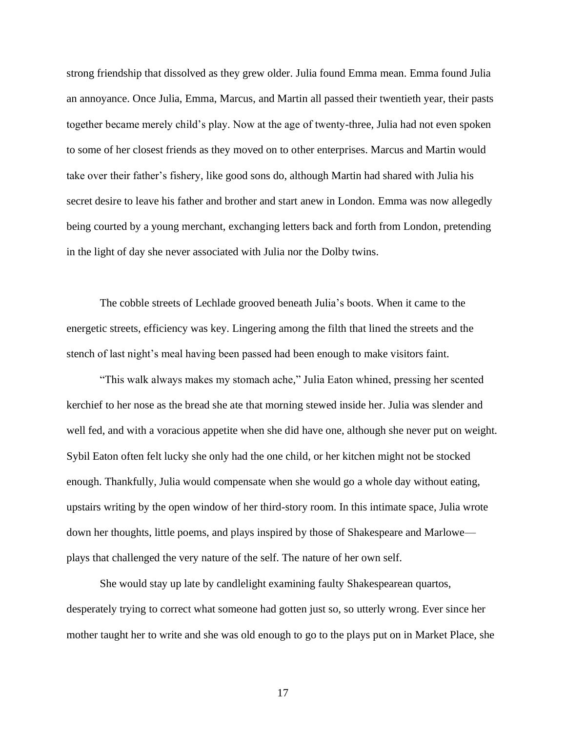strong friendship that dissolved as they grew older. Julia found Emma mean. Emma found Julia an annoyance. Once Julia, Emma, Marcus, and Martin all passed their twentieth year, their pasts together became merely child's play. Now at the age of twenty-three, Julia had not even spoken to some of her closest friends as they moved on to other enterprises. Marcus and Martin would take over their father's fishery, like good sons do, although Martin had shared with Julia his secret desire to leave his father and brother and start anew in London. Emma was now allegedly being courted by a young merchant, exchanging letters back and forth from London, pretending in the light of day she never associated with Julia nor the Dolby twins.

The cobble streets of Lechlade grooved beneath Julia's boots. When it came to the energetic streets, efficiency was key. Lingering among the filth that lined the streets and the stench of last night's meal having been passed had been enough to make visitors faint.

"This walk always makes my stomach ache," Julia Eaton whined, pressing her scented kerchief to her nose as the bread she ate that morning stewed inside her. Julia was slender and well fed, and with a voracious appetite when she did have one, although she never put on weight. Sybil Eaton often felt lucky she only had the one child, or her kitchen might not be stocked enough. Thankfully, Julia would compensate when she would go a whole day without eating, upstairs writing by the open window of her third-story room. In this intimate space, Julia wrote down her thoughts, little poems, and plays inspired by those of Shakespeare and Marlowe plays that challenged the very nature of the self. The nature of her own self.

She would stay up late by candlelight examining faulty Shakespearean quartos, desperately trying to correct what someone had gotten just so, so utterly wrong. Ever since her mother taught her to write and she was old enough to go to the plays put on in Market Place, she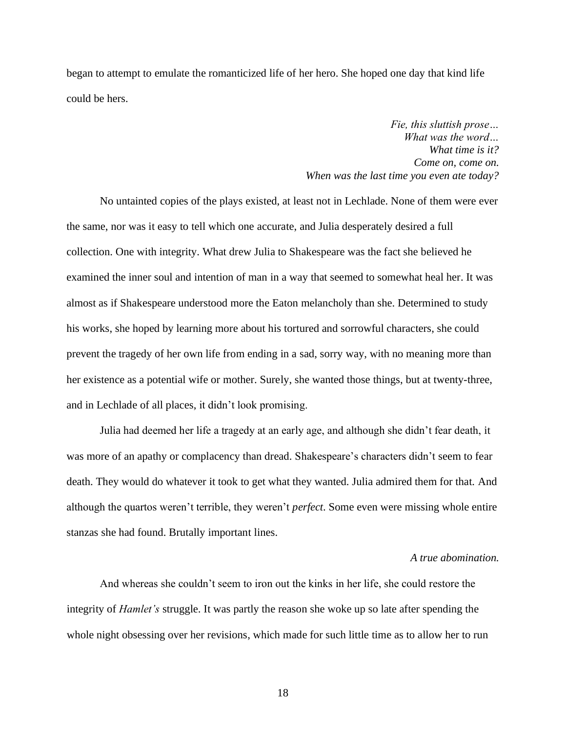began to attempt to emulate the romanticized life of her hero. She hoped one day that kind life could be hers.

> *Fie, this sluttish prose… What was the word… What time is it? Come on, come on. When was the last time you even ate today?*

No untainted copies of the plays existed, at least not in Lechlade. None of them were ever the same, nor was it easy to tell which one accurate, and Julia desperately desired a full collection. One with integrity. What drew Julia to Shakespeare was the fact she believed he examined the inner soul and intention of man in a way that seemed to somewhat heal her. It was almost as if Shakespeare understood more the Eaton melancholy than she. Determined to study his works, she hoped by learning more about his tortured and sorrowful characters, she could prevent the tragedy of her own life from ending in a sad, sorry way, with no meaning more than her existence as a potential wife or mother. Surely, she wanted those things, but at twenty-three, and in Lechlade of all places, it didn't look promising.

Julia had deemed her life a tragedy at an early age, and although she didn't fear death, it was more of an apathy or complacency than dread. Shakespeare's characters didn't seem to fear death. They would do whatever it took to get what they wanted. Julia admired them for that. And although the quartos weren't terrible, they weren't *perfect*. Some even were missing whole entire stanzas she had found. Brutally important lines.

#### *A true abomination.*

And whereas she couldn't seem to iron out the kinks in her life, she could restore the integrity of *Hamlet's* struggle. It was partly the reason she woke up so late after spending the whole night obsessing over her revisions, which made for such little time as to allow her to run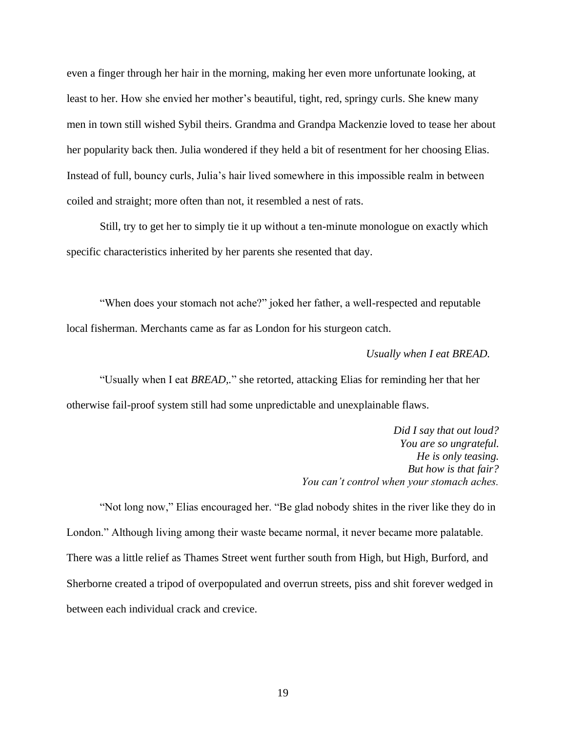even a finger through her hair in the morning, making her even more unfortunate looking, at least to her. How she envied her mother's beautiful, tight, red, springy curls. She knew many men in town still wished Sybil theirs. Grandma and Grandpa Mackenzie loved to tease her about her popularity back then. Julia wondered if they held a bit of resentment for her choosing Elias. Instead of full, bouncy curls, Julia's hair lived somewhere in this impossible realm in between coiled and straight; more often than not, it resembled a nest of rats.

Still, try to get her to simply tie it up without a ten-minute monologue on exactly which specific characteristics inherited by her parents she resented that day.

"When does your stomach not ache?" joked her father, a well-respected and reputable local fisherman. Merchants came as far as London for his sturgeon catch.

#### *Usually when I eat BREAD.*

"Usually when I eat *BREAD,.*" she retorted, attacking Elias for reminding her that her otherwise fail-proof system still had some unpredictable and unexplainable flaws.

> *Did I say that out loud? You are so ungrateful. He is only teasing. But how is that fair? You can't control when your stomach aches.*

"Not long now," Elias encouraged her. "Be glad nobody shites in the river like they do in London." Although living among their waste became normal, it never became more palatable. There was a little relief as Thames Street went further south from High, but High, Burford, and Sherborne created a tripod of overpopulated and overrun streets, piss and shit forever wedged in between each individual crack and crevice.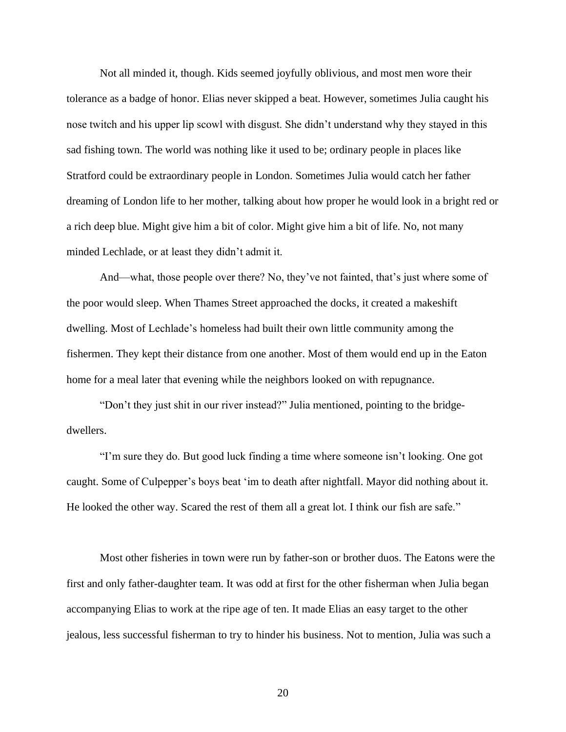Not all minded it, though. Kids seemed joyfully oblivious, and most men wore their tolerance as a badge of honor. Elias never skipped a beat. However, sometimes Julia caught his nose twitch and his upper lip scowl with disgust. She didn't understand why they stayed in this sad fishing town. The world was nothing like it used to be; ordinary people in places like Stratford could be extraordinary people in London. Sometimes Julia would catch her father dreaming of London life to her mother, talking about how proper he would look in a bright red or a rich deep blue. Might give him a bit of color. Might give him a bit of life. No, not many minded Lechlade, or at least they didn't admit it.

And—what, those people over there? No, they've not fainted, that's just where some of the poor would sleep. When Thames Street approached the docks, it created a makeshift dwelling. Most of Lechlade's homeless had built their own little community among the fishermen. They kept their distance from one another. Most of them would end up in the Eaton home for a meal later that evening while the neighbors looked on with repugnance.

"Don't they just shit in our river instead?" Julia mentioned, pointing to the bridgedwellers.

"I'm sure they do. But good luck finding a time where someone isn't looking. One got caught. Some of Culpepper's boys beat 'im to death after nightfall. Mayor did nothing about it. He looked the other way. Scared the rest of them all a great lot. I think our fish are safe."

Most other fisheries in town were run by father-son or brother duos. The Eatons were the first and only father-daughter team. It was odd at first for the other fisherman when Julia began accompanying Elias to work at the ripe age of ten. It made Elias an easy target to the other jealous, less successful fisherman to try to hinder his business. Not to mention, Julia was such a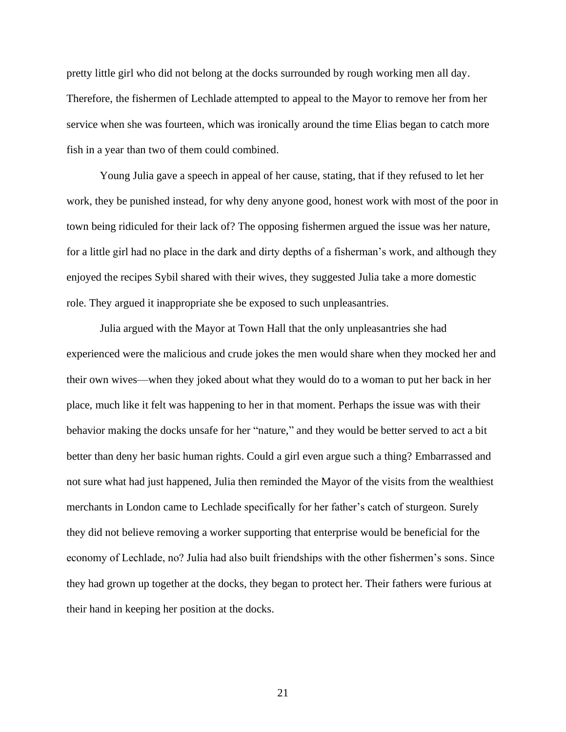pretty little girl who did not belong at the docks surrounded by rough working men all day. Therefore, the fishermen of Lechlade attempted to appeal to the Mayor to remove her from her service when she was fourteen, which was ironically around the time Elias began to catch more fish in a year than two of them could combined.

Young Julia gave a speech in appeal of her cause, stating, that if they refused to let her work, they be punished instead, for why deny anyone good, honest work with most of the poor in town being ridiculed for their lack of? The opposing fishermen argued the issue was her nature, for a little girl had no place in the dark and dirty depths of a fisherman's work, and although they enjoyed the recipes Sybil shared with their wives, they suggested Julia take a more domestic role. They argued it inappropriate she be exposed to such unpleasantries.

Julia argued with the Mayor at Town Hall that the only unpleasantries she had experienced were the malicious and crude jokes the men would share when they mocked her and their own wives—when they joked about what they would do to a woman to put her back in her place, much like it felt was happening to her in that moment. Perhaps the issue was with their behavior making the docks unsafe for her "nature," and they would be better served to act a bit better than deny her basic human rights. Could a girl even argue such a thing? Embarrassed and not sure what had just happened, Julia then reminded the Mayor of the visits from the wealthiest merchants in London came to Lechlade specifically for her father's catch of sturgeon. Surely they did not believe removing a worker supporting that enterprise would be beneficial for the economy of Lechlade, no? Julia had also built friendships with the other fishermen's sons. Since they had grown up together at the docks, they began to protect her. Their fathers were furious at their hand in keeping her position at the docks.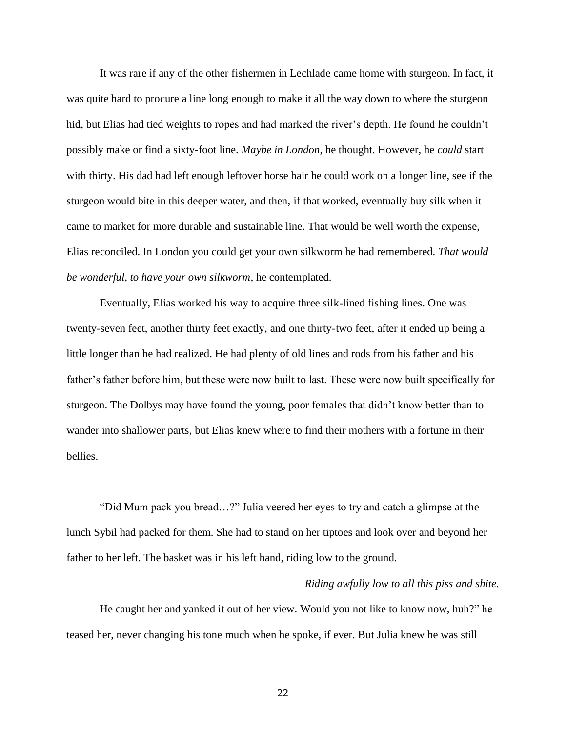It was rare if any of the other fishermen in Lechlade came home with sturgeon. In fact, it was quite hard to procure a line long enough to make it all the way down to where the sturgeon hid, but Elias had tied weights to ropes and had marked the river's depth. He found he couldn't possibly make or find a sixty-foot line. *Maybe in London*, he thought. However, he *could* start with thirty. His dad had left enough leftover horse hair he could work on a longer line, see if the sturgeon would bite in this deeper water, and then, if that worked, eventually buy silk when it came to market for more durable and sustainable line. That would be well worth the expense, Elias reconciled. In London you could get your own silkworm he had remembered. *That would be wonderful, to have your own silkworm*, he contemplated.

Eventually, Elias worked his way to acquire three silk-lined fishing lines. One was twenty-seven feet, another thirty feet exactly, and one thirty-two feet, after it ended up being a little longer than he had realized. He had plenty of old lines and rods from his father and his father's father before him, but these were now built to last. These were now built specifically for sturgeon. The Dolbys may have found the young, poor females that didn't know better than to wander into shallower parts, but Elias knew where to find their mothers with a fortune in their bellies.

"Did Mum pack you bread…?" Julia veered her eyes to try and catch a glimpse at the lunch Sybil had packed for them. She had to stand on her tiptoes and look over and beyond her father to her left. The basket was in his left hand, riding low to the ground.

#### *Riding awfully low to all this piss and shite*.

He caught her and yanked it out of her view. Would you not like to know now, huh?" he teased her, never changing his tone much when he spoke, if ever. But Julia knew he was still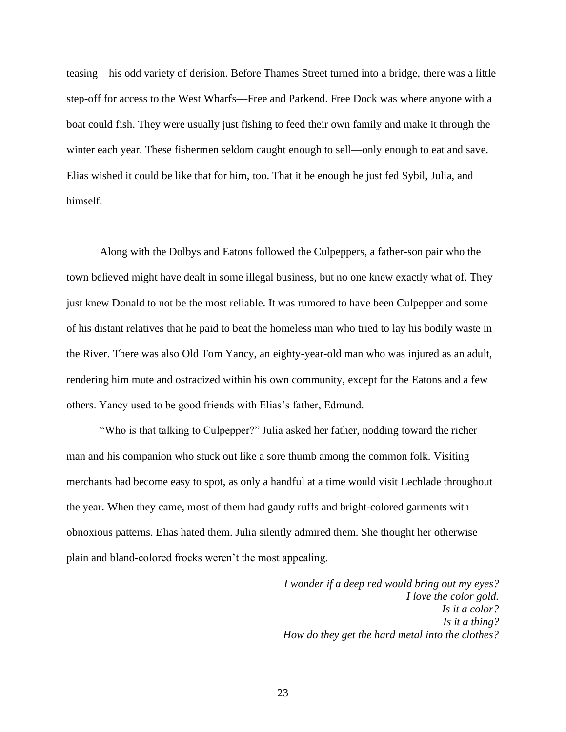teasing—his odd variety of derision. Before Thames Street turned into a bridge, there was a little step-off for access to the West Wharfs—Free and Parkend. Free Dock was where anyone with a boat could fish. They were usually just fishing to feed their own family and make it through the winter each year. These fishermen seldom caught enough to sell—only enough to eat and save. Elias wished it could be like that for him, too. That it be enough he just fed Sybil, Julia, and himself.

Along with the Dolbys and Eatons followed the Culpeppers, a father-son pair who the town believed might have dealt in some illegal business, but no one knew exactly what of. They just knew Donald to not be the most reliable. It was rumored to have been Culpepper and some of his distant relatives that he paid to beat the homeless man who tried to lay his bodily waste in the River. There was also Old Tom Yancy, an eighty-year-old man who was injured as an adult, rendering him mute and ostracized within his own community, except for the Eatons and a few others. Yancy used to be good friends with Elias's father, Edmund.

"Who is that talking to Culpepper?" Julia asked her father, nodding toward the richer man and his companion who stuck out like a sore thumb among the common folk. Visiting merchants had become easy to spot, as only a handful at a time would visit Lechlade throughout the year. When they came, most of them had gaudy ruffs and bright-colored garments with obnoxious patterns. Elias hated them. Julia silently admired them. She thought her otherwise plain and bland-colored frocks weren't the most appealing.

> *I wonder if a deep red would bring out my eyes? I love the color gold. Is it a color? Is it a thing? How do they get the hard metal into the clothes?*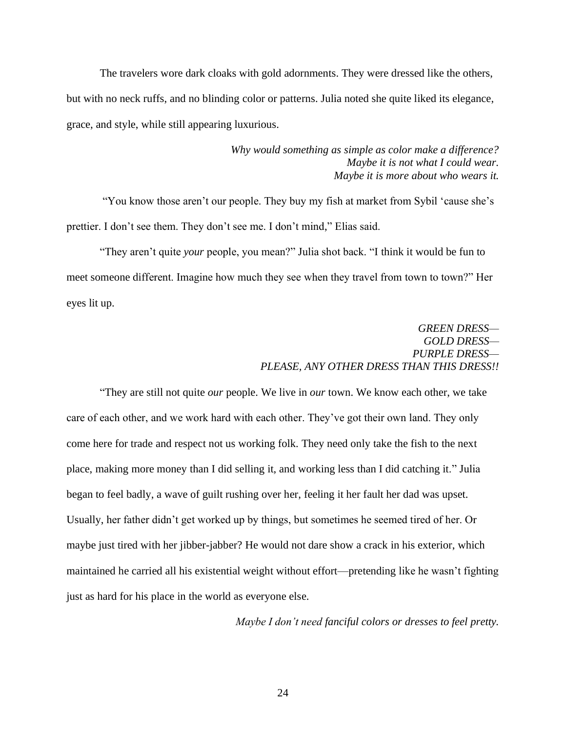The travelers wore dark cloaks with gold adornments. They were dressed like the others, but with no neck ruffs, and no blinding color or patterns. Julia noted she quite liked its elegance, grace, and style, while still appearing luxurious.

> *Why would something as simple as color make a difference? Maybe it is not what I could wear. Maybe it is more about who wears it.*

"You know those aren't our people. They buy my fish at market from Sybil 'cause she's prettier. I don't see them. They don't see me. I don't mind," Elias said.

"They aren't quite *your* people, you mean?" Julia shot back. "I think it would be fun to meet someone different. Imagine how much they see when they travel from town to town?" Her eyes lit up.

# *GREEN DRESS— GOLD DRESS— PURPLE DRESS— PLEASE, ANY OTHER DRESS THAN THIS DRESS!!*

"They are still not quite *our* people. We live in *our* town. We know each other, we take care of each other, and we work hard with each other. They've got their own land. They only come here for trade and respect not us working folk. They need only take the fish to the next place, making more money than I did selling it, and working less than I did catching it." Julia began to feel badly, a wave of guilt rushing over her, feeling it her fault her dad was upset. Usually, her father didn't get worked up by things, but sometimes he seemed tired of her. Or maybe just tired with her jibber-jabber? He would not dare show a crack in his exterior, which maintained he carried all his existential weight without effort—pretending like he wasn't fighting just as hard for his place in the world as everyone else.

*Maybe I don't need fanciful colors or dresses to feel pretty.*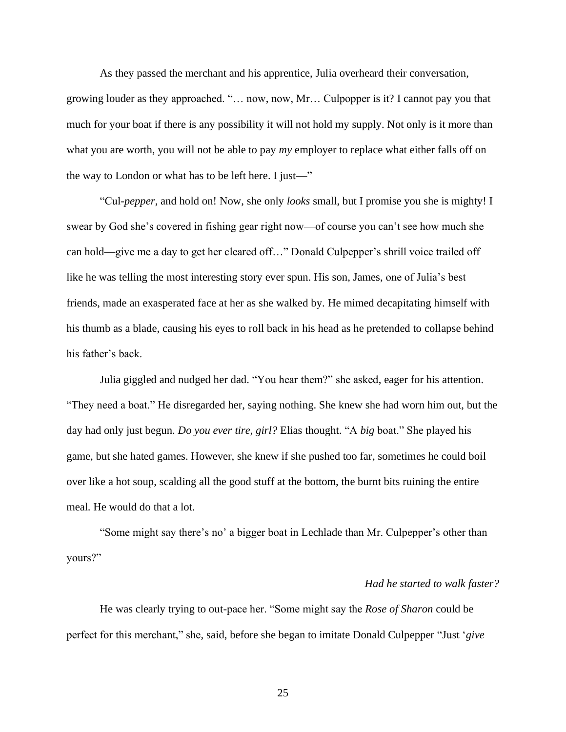As they passed the merchant and his apprentice, Julia overheard their conversation, growing louder as they approached. "… now, now, Mr… Culpopper is it? I cannot pay you that much for your boat if there is any possibility it will not hold my supply. Not only is it more than what you are worth, you will not be able to pay *my* employer to replace what either falls off on the way to London or what has to be left here. I just—"

"Cul-*pepper*, and hold on! Now, she only *looks* small, but I promise you she is mighty! I swear by God she's covered in fishing gear right now—of course you can't see how much she can hold—give me a day to get her cleared off…" Donald Culpepper's shrill voice trailed off like he was telling the most interesting story ever spun. His son, James, one of Julia's best friends, made an exasperated face at her as she walked by. He mimed decapitating himself with his thumb as a blade, causing his eyes to roll back in his head as he pretended to collapse behind his father's back.

Julia giggled and nudged her dad. "You hear them?" she asked, eager for his attention. "They need a boat." He disregarded her, saying nothing. She knew she had worn him out, but the day had only just begun. *Do you ever tire, girl?* Elias thought. "A *big* boat." She played his game, but she hated games. However, she knew if she pushed too far, sometimes he could boil over like a hot soup, scalding all the good stuff at the bottom, the burnt bits ruining the entire meal. He would do that a lot.

"Some might say there's no' a bigger boat in Lechlade than Mr. Culpepper's other than yours?"

#### *Had he started to walk faster?*

He was clearly trying to out-pace her. "Some might say the *Rose of Sharon* could be perfect for this merchant," she, said, before she began to imitate Donald Culpepper "Just '*give*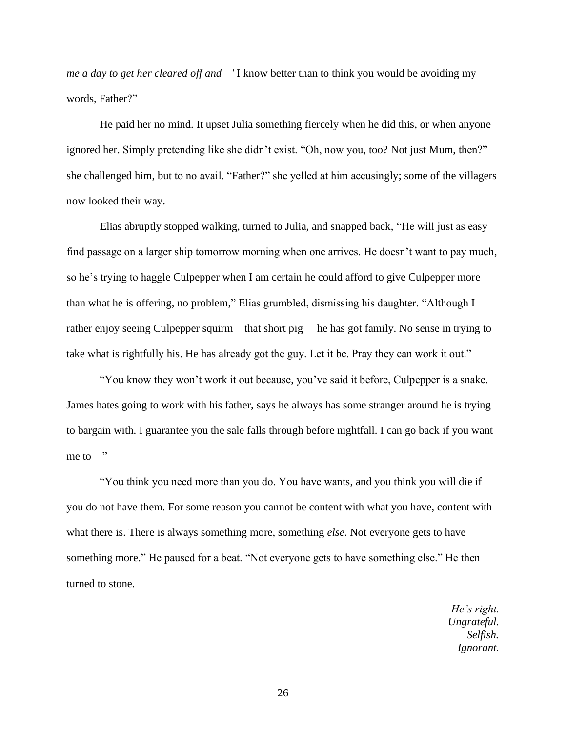*me a day to get her cleared off and—'* I know better than to think you would be avoiding my words, Father?"

He paid her no mind. It upset Julia something fiercely when he did this, or when anyone ignored her. Simply pretending like she didn't exist. "Oh, now you, too? Not just Mum, then?" she challenged him, but to no avail. "Father?" she yelled at him accusingly; some of the villagers now looked their way.

Elias abruptly stopped walking, turned to Julia, and snapped back, "He will just as easy find passage on a larger ship tomorrow morning when one arrives. He doesn't want to pay much, so he's trying to haggle Culpepper when I am certain he could afford to give Culpepper more than what he is offering, no problem," Elias grumbled, dismissing his daughter. "Although I rather enjoy seeing Culpepper squirm—that short pig— he has got family. No sense in trying to take what is rightfully his. He has already got the guy. Let it be. Pray they can work it out."

"You know they won't work it out because, you've said it before, Culpepper is a snake. James hates going to work with his father, says he always has some stranger around he is trying to bargain with. I guarantee you the sale falls through before nightfall. I can go back if you want me to—"

"You think you need more than you do. You have wants, and you think you will die if you do not have them. For some reason you cannot be content with what you have, content with what there is. There is always something more, something *else*. Not everyone gets to have something more." He paused for a beat. "Not everyone gets to have something else." He then turned to stone.

> *He's right. Ungrateful. Selfish. Ignorant.*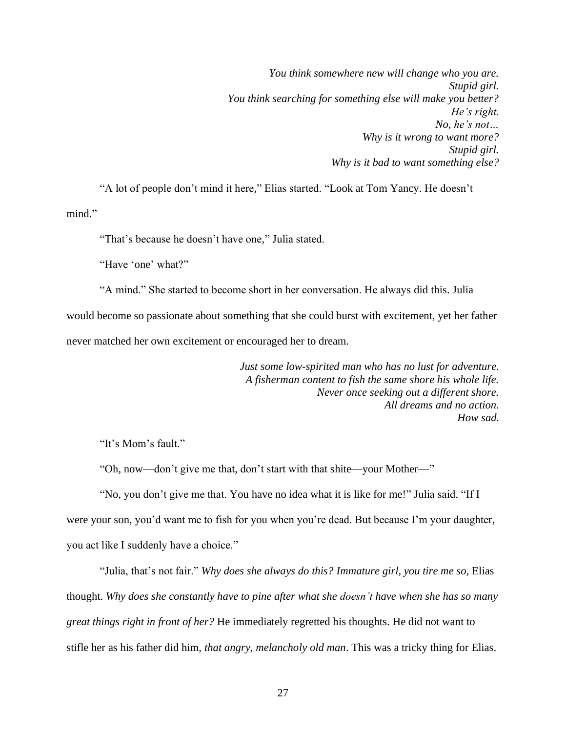*You think somewhere new will change who you are. Stupid girl. You think searching for something else will make you better? He's right. No, he's not… Why is it wrong to want more? Stupid girl. Why is it bad to want something else?*

"A lot of people don't mind it here," Elias started. "Look at Tom Yancy. He doesn't mind."

"That's because he doesn't have one," Julia stated.

"Have 'one' what?"

"A mind." She started to become short in her conversation. He always did this. Julia would become so passionate about something that she could burst with excitement, yet her father never matched her own excitement or encouraged her to dream.

> *Just some low-spirited man who has no lust for adventure. A fisherman content to fish the same shore his whole life. Never once seeking out a different shore. All dreams and no action. How sad.*

"It's Mom's fault."

"Oh, now—don't give me that, don't start with that shite—your Mother—"

"No, you don't give me that. You have no idea what it is like for me!" Julia said. "If I were your son, you'd want me to fish for you when you're dead. But because I'm your daughter, you act like I suddenly have a choice."

"Julia, that's not fair." *Why does she always do this? Immature girl, you tire me so,* Elias thought. *Why does she constantly have to pine after what she doesn't have when she has so many great things right in front of her?* He immediately regretted his thoughts. He did not want to stifle her as his father did him, *that angry, melancholy old man*. This was a tricky thing for Elias.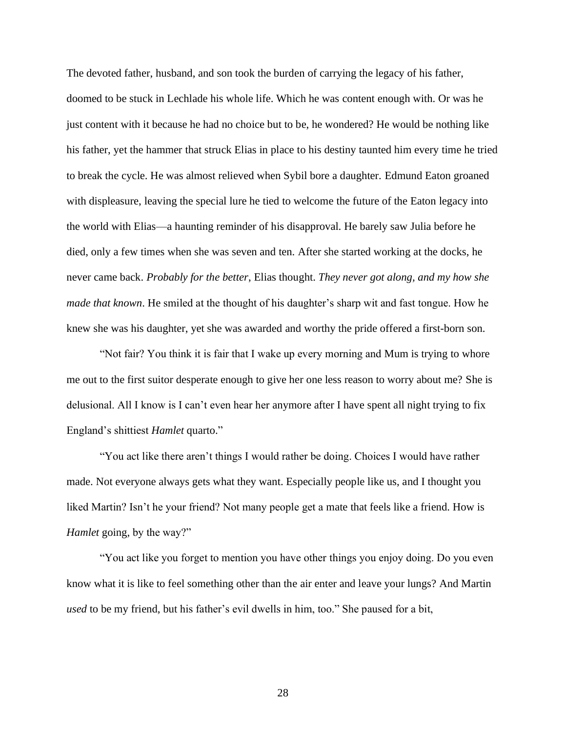The devoted father, husband, and son took the burden of carrying the legacy of his father, doomed to be stuck in Lechlade his whole life. Which he was content enough with. Or was he just content with it because he had no choice but to be, he wondered? He would be nothing like his father, yet the hammer that struck Elias in place to his destiny taunted him every time he tried to break the cycle. He was almost relieved when Sybil bore a daughter. Edmund Eaton groaned with displeasure, leaving the special lure he tied to welcome the future of the Eaton legacy into the world with Elias—a haunting reminder of his disapproval. He barely saw Julia before he died, only a few times when she was seven and ten. After she started working at the docks, he never came back. *Probably for the better*, Elias thought. *They never got along, and my how she made that known*. He smiled at the thought of his daughter's sharp wit and fast tongue. How he knew she was his daughter, yet she was awarded and worthy the pride offered a first-born son.

"Not fair? You think it is fair that I wake up every morning and Mum is trying to whore me out to the first suitor desperate enough to give her one less reason to worry about me? She is delusional. All I know is I can't even hear her anymore after I have spent all night trying to fix England's shittiest *Hamlet* quarto."

"You act like there aren't things I would rather be doing. Choices I would have rather made. Not everyone always gets what they want. Especially people like us, and I thought you liked Martin? Isn't he your friend? Not many people get a mate that feels like a friend. How is *Hamlet* going, by the way?"

"You act like you forget to mention you have other things you enjoy doing. Do you even know what it is like to feel something other than the air enter and leave your lungs? And Martin *used* to be my friend, but his father's evil dwells in him, too." She paused for a bit,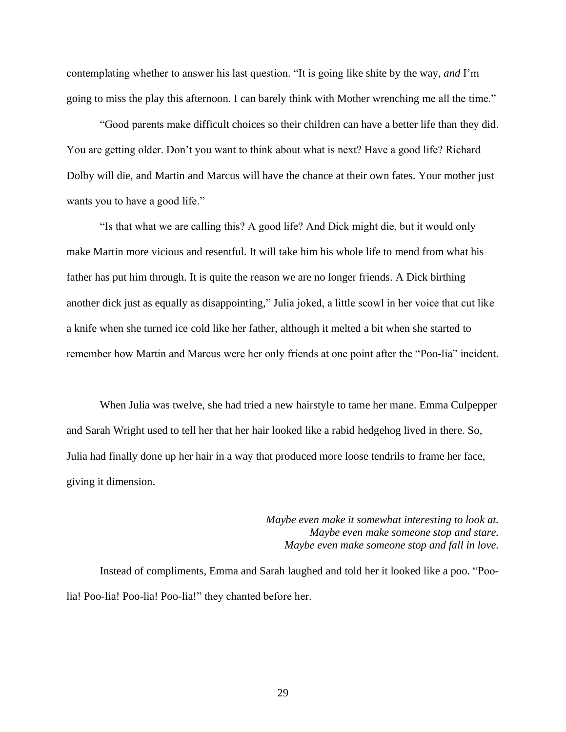contemplating whether to answer his last question. "It is going like shite by the way, *and* I'm going to miss the play this afternoon. I can barely think with Mother wrenching me all the time."

"Good parents make difficult choices so their children can have a better life than they did. You are getting older. Don't you want to think about what is next? Have a good life? Richard Dolby will die, and Martin and Marcus will have the chance at their own fates. Your mother just wants you to have a good life."

"Is that what we are calling this? A good life? And Dick might die, but it would only make Martin more vicious and resentful. It will take him his whole life to mend from what his father has put him through. It is quite the reason we are no longer friends. A Dick birthing another dick just as equally as disappointing," Julia joked, a little scowl in her voice that cut like a knife when she turned ice cold like her father, although it melted a bit when she started to remember how Martin and Marcus were her only friends at one point after the "Poo-lia" incident.

When Julia was twelve, she had tried a new hairstyle to tame her mane. Emma Culpepper and Sarah Wright used to tell her that her hair looked like a rabid hedgehog lived in there. So, Julia had finally done up her hair in a way that produced more loose tendrils to frame her face, giving it dimension.

> *Maybe even make it somewhat interesting to look at. Maybe even make someone stop and stare. Maybe even make someone stop and fall in love.*

Instead of compliments, Emma and Sarah laughed and told her it looked like a poo. "Poolia! Poo-lia! Poo-lia! Poo-lia!" they chanted before her.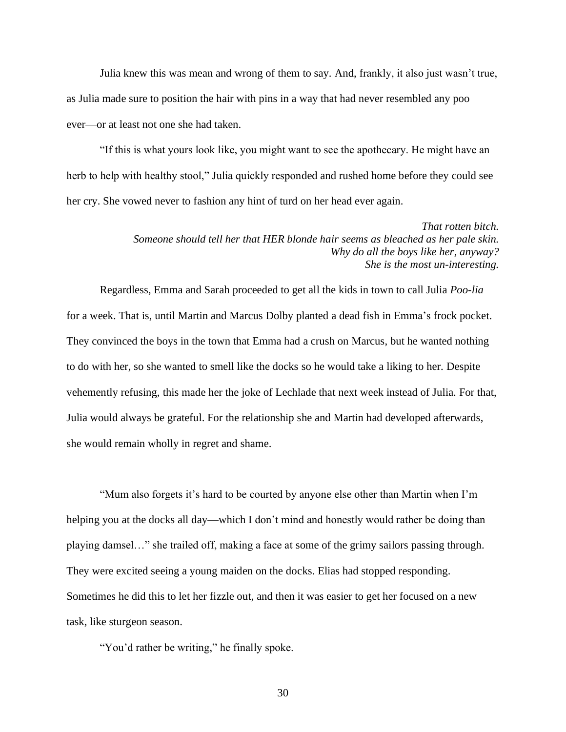Julia knew this was mean and wrong of them to say. And, frankly, it also just wasn't true, as Julia made sure to position the hair with pins in a way that had never resembled any poo ever—or at least not one she had taken.

"If this is what yours look like, you might want to see the apothecary. He might have an herb to help with healthy stool," Julia quickly responded and rushed home before they could see her cry. She vowed never to fashion any hint of turd on her head ever again.

> *That rotten bitch. Someone should tell her that HER blonde hair seems as bleached as her pale skin. Why do all the boys like her, anyway? She is the most un-interesting.*

Regardless, Emma and Sarah proceeded to get all the kids in town to call Julia *Poo-lia* for a week. That is, until Martin and Marcus Dolby planted a dead fish in Emma's frock pocket. They convinced the boys in the town that Emma had a crush on Marcus, but he wanted nothing to do with her, so she wanted to smell like the docks so he would take a liking to her. Despite vehemently refusing, this made her the joke of Lechlade that next week instead of Julia. For that, Julia would always be grateful. For the relationship she and Martin had developed afterwards, she would remain wholly in regret and shame.

"Mum also forgets it's hard to be courted by anyone else other than Martin when I'm helping you at the docks all day—which I don't mind and honestly would rather be doing than playing damsel…" she trailed off, making a face at some of the grimy sailors passing through. They were excited seeing a young maiden on the docks. Elias had stopped responding. Sometimes he did this to let her fizzle out, and then it was easier to get her focused on a new task, like sturgeon season.

"You'd rather be writing," he finally spoke.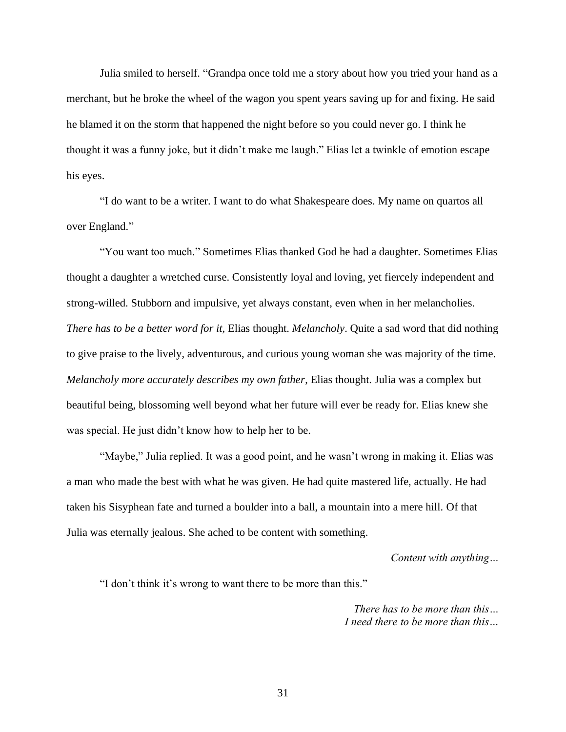Julia smiled to herself. "Grandpa once told me a story about how you tried your hand as a merchant, but he broke the wheel of the wagon you spent years saving up for and fixing. He said he blamed it on the storm that happened the night before so you could never go. I think he thought it was a funny joke, but it didn't make me laugh." Elias let a twinkle of emotion escape his eyes.

"I do want to be a writer. I want to do what Shakespeare does. My name on quartos all over England."

"You want too much." Sometimes Elias thanked God he had a daughter. Sometimes Elias thought a daughter a wretched curse. Consistently loyal and loving, yet fiercely independent and strong-willed. Stubborn and impulsive, yet always constant, even when in her melancholies. *There has to be a better word for it*, Elias thought. *Melancholy*. Quite a sad word that did nothing to give praise to the lively, adventurous, and curious young woman she was majority of the time. *Melancholy more accurately describes my own father*, Elias thought. Julia was a complex but beautiful being, blossoming well beyond what her future will ever be ready for. Elias knew she was special. He just didn't know how to help her to be.

"Maybe," Julia replied. It was a good point, and he wasn't wrong in making it. Elias was a man who made the best with what he was given. He had quite mastered life, actually. He had taken his Sisyphean fate and turned a boulder into a ball, a mountain into a mere hill. Of that Julia was eternally jealous. She ached to be content with something.

*Content with anything…*

"I don't think it's wrong to want there to be more than this."

*There has to be more than this… I need there to be more than this…*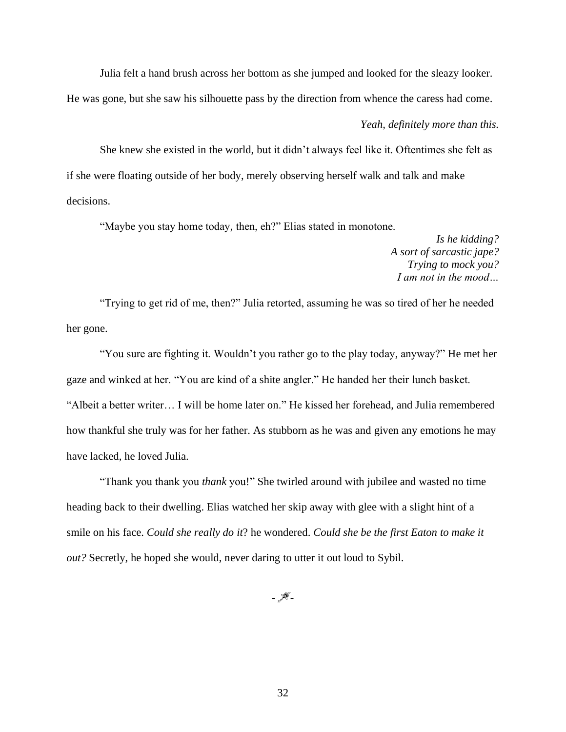Julia felt a hand brush across her bottom as she jumped and looked for the sleazy looker.

He was gone, but she saw his silhouette pass by the direction from whence the caress had come.

### *Yeah, definitely more than this.*

She knew she existed in the world, but it didn't always feel like it. Oftentimes she felt as if she were floating outside of her body, merely observing herself walk and talk and make decisions.

"Maybe you stay home today, then, eh?" Elias stated in monotone.

*Is he kidding? A sort of sarcastic jape? Trying to mock you? I am not in the mood…*

"Trying to get rid of me, then?" Julia retorted, assuming he was so tired of her he needed her gone.

"You sure are fighting it. Wouldn't you rather go to the play today, anyway?" He met her gaze and winked at her. "You are kind of a shite angler." He handed her their lunch basket. "Albeit a better writer… I will be home later on." He kissed her forehead, and Julia remembered how thankful she truly was for her father. As stubborn as he was and given any emotions he may have lacked, he loved Julia.

"Thank you thank you *thank* you!" She twirled around with jubilee and wasted no time heading back to their dwelling. Elias watched her skip away with glee with a slight hint of a smile on his face. *Could she really do it*? he wondered. *Could she be the first Eaton to make it out?* Secretly, he hoped she would, never daring to utter it out loud to Sybil.

--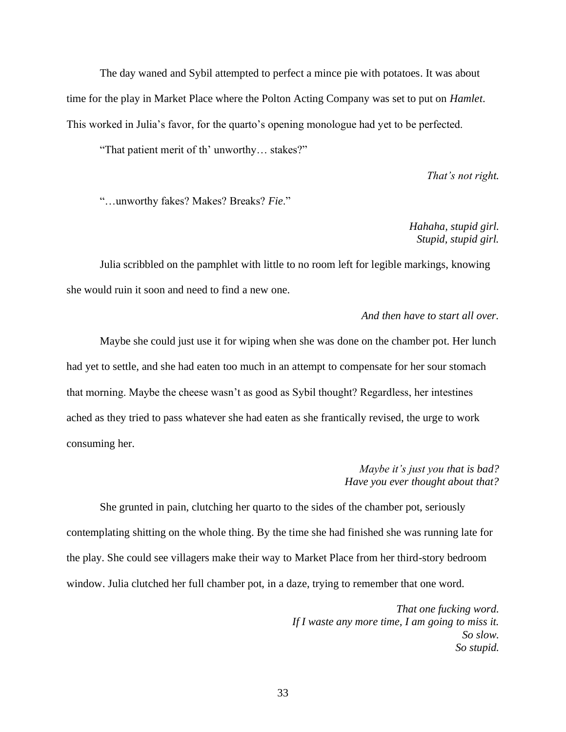The day waned and Sybil attempted to perfect a mince pie with potatoes. It was about time for the play in Market Place where the Polton Acting Company was set to put on *Hamlet*. This worked in Julia's favor, for the quarto's opening monologue had yet to be perfected.

"That patient merit of th' unworthy… stakes?"

*That's not right.*

"…unworthy fakes? Makes? Breaks? *Fie*."

*Hahaha, stupid girl. Stupid, stupid girl.*

Julia scribbled on the pamphlet with little to no room left for legible markings, knowing she would ruin it soon and need to find a new one.

## *And then have to start all over.*

Maybe she could just use it for wiping when she was done on the chamber pot. Her lunch had yet to settle, and she had eaten too much in an attempt to compensate for her sour stomach that morning. Maybe the cheese wasn't as good as Sybil thought? Regardless, her intestines ached as they tried to pass whatever she had eaten as she frantically revised, the urge to work consuming her.

## *Maybe it's just you that is bad? Have you ever thought about that?*

She grunted in pain, clutching her quarto to the sides of the chamber pot, seriously contemplating shitting on the whole thing. By the time she had finished she was running late for the play. She could see villagers make their way to Market Place from her third-story bedroom window. Julia clutched her full chamber pot, in a daze, trying to remember that one word.

> *That one fucking word. If I waste any more time, I am going to miss it. So slow. So stupid.*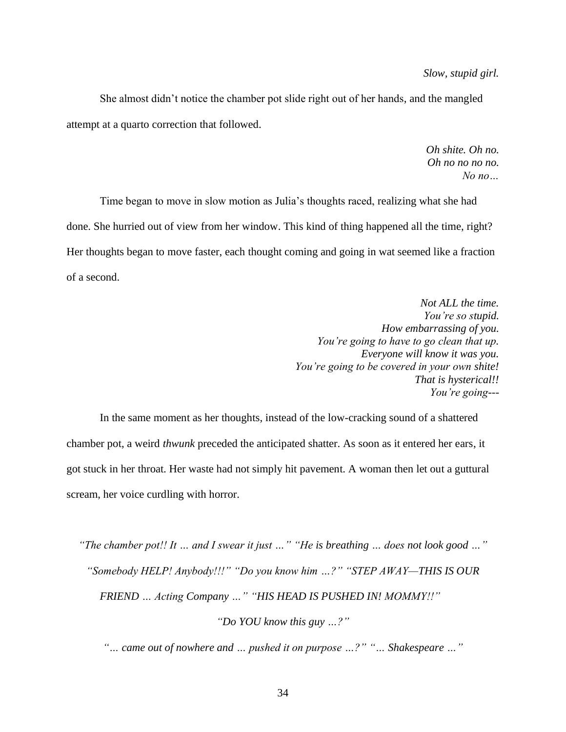*Slow, stupid girl.*

She almost didn't notice the chamber pot slide right out of her hands, and the mangled attempt at a quarto correction that followed.

> *Oh shite. Oh no. Oh no no no no. No no…*

Time began to move in slow motion as Julia's thoughts raced, realizing what she had done. She hurried out of view from her window. This kind of thing happened all the time, right? Her thoughts began to move faster, each thought coming and going in wat seemed like a fraction of a second.

> *Not ALL the time. You're so stupid. How embarrassing of you. You're going to have to go clean that up. Everyone will know it was you. You're going to be covered in your own shite! That is hysterical!! You're going---*

In the same moment as her thoughts, instead of the low-cracking sound of a shattered chamber pot, a weird *thwunk* preceded the anticipated shatter. As soon as it entered her ears, it got stuck in her throat. Her waste had not simply hit pavement. A woman then let out a guttural scream, her voice curdling with horror.

*"The chamber pot!! It … and I swear it just …" "He is breathing … does not look good …" "Somebody HELP! Anybody!!!" "Do you know him …?" "STEP AWAY—THIS IS OUR FRIEND … Acting Company …" "HIS HEAD IS PUSHED IN! MOMMY!!"*

*"Do YOU know this guy …?"*

*"… came out of nowhere and … pushed it on purpose …?" "… Shakespeare …"*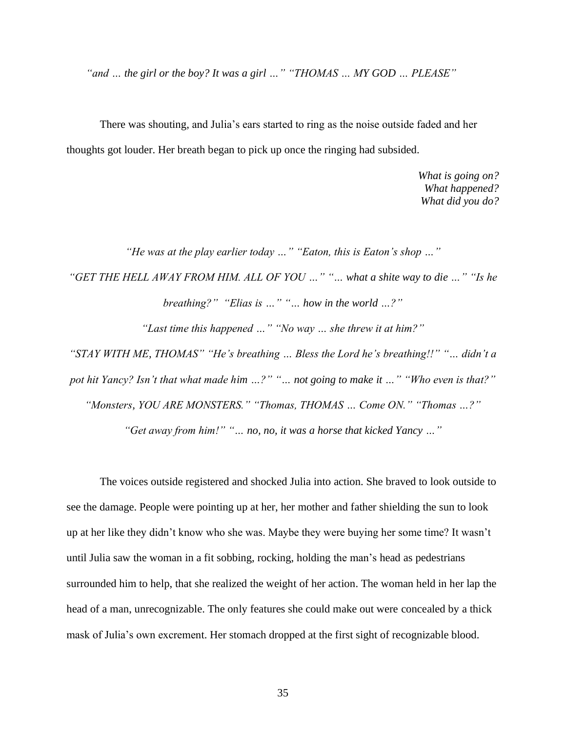*"and … the girl or the boy? It was a girl …" "THOMAS … MY GOD … PLEASE"*

There was shouting, and Julia's ears started to ring as the noise outside faded and her thoughts got louder. Her breath began to pick up once the ringing had subsided.

> *What is going on? What happened? What did you do?*

*"He was at the play earlier today …" "Eaton, this is Eaton's shop …" "GET THE HELL AWAY FROM HIM. ALL OF YOU …" "… what a shite way to die …" "Is he* 

*breathing?" "Elias is …" "… how in the world …?"*

*"Last time this happened …" "No way … she threw it at him?"* 

*"STAY WITH ME, THOMAS" "He's breathing … Bless the Lord he's breathing!!" "… didn't a* 

*pot hit Yancy? Isn't that what made him …?" "… not going to make it …" "Who even is that?"* 

*"Monsters, YOU ARE MONSTERS." "Thomas, THOMAS … Come ON." "Thomas …?"* 

*"Get away from him!" "… no, no, it was a horse that kicked Yancy …"*

The voices outside registered and shocked Julia into action. She braved to look outside to see the damage. People were pointing up at her, her mother and father shielding the sun to look up at her like they didn't know who she was. Maybe they were buying her some time? It wasn't until Julia saw the woman in a fit sobbing, rocking, holding the man's head as pedestrians surrounded him to help, that she realized the weight of her action. The woman held in her lap the head of a man, unrecognizable. The only features she could make out were concealed by a thick mask of Julia's own excrement. Her stomach dropped at the first sight of recognizable blood.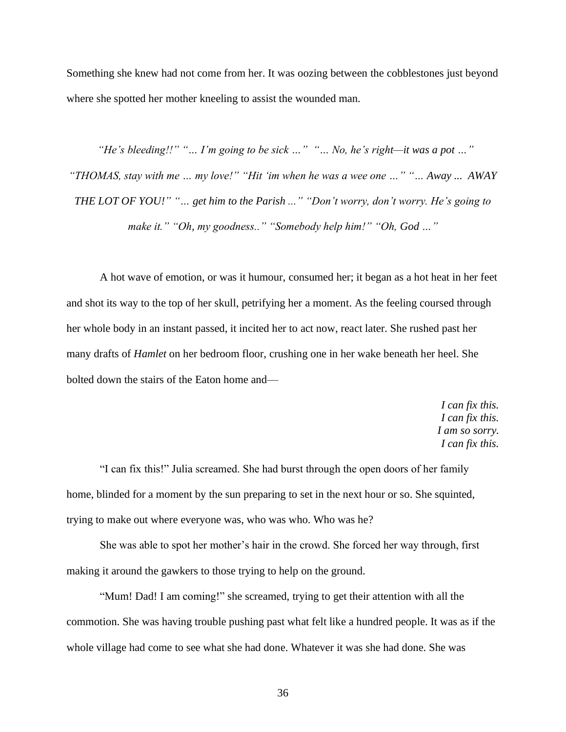Something she knew had not come from her. It was oozing between the cobblestones just beyond where she spotted her mother kneeling to assist the wounded man.

 *"He's bleeding!!" "… I'm going to be sick …" "… No, he's right—it was a pot …" "THOMAS, stay with me … my love!" "Hit 'im when he was a wee one …" "… Away ... AWAY THE LOT OF YOU!" "… get him to the Parish ..." "Don't worry, don't worry. He's going to make it." "Oh, my goodness.." "Somebody help him!" "Oh, God …"*

A hot wave of emotion, or was it humour, consumed her; it began as a hot heat in her feet and shot its way to the top of her skull, petrifying her a moment. As the feeling coursed through her whole body in an instant passed, it incited her to act now, react later. She rushed past her many drafts of *Hamlet* on her bedroom floor, crushing one in her wake beneath her heel. She bolted down the stairs of the Eaton home and—

> *I can fix this. I can fix this. I am so sorry. I can fix this.*

"I can fix this!" Julia screamed. She had burst through the open doors of her family home, blinded for a moment by the sun preparing to set in the next hour or so. She squinted, trying to make out where everyone was, who was who. Who was he?

She was able to spot her mother's hair in the crowd. She forced her way through, first making it around the gawkers to those trying to help on the ground.

"Mum! Dad! I am coming!" she screamed, trying to get their attention with all the commotion. She was having trouble pushing past what felt like a hundred people. It was as if the whole village had come to see what she had done. Whatever it was she had done. She was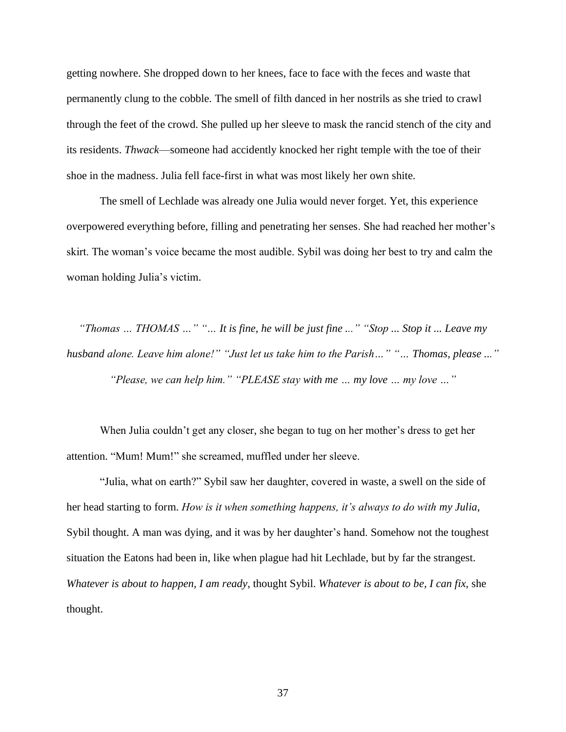getting nowhere. She dropped down to her knees, face to face with the feces and waste that permanently clung to the cobble. The smell of filth danced in her nostrils as she tried to crawl through the feet of the crowd. She pulled up her sleeve to mask the rancid stench of the city and its residents. *Thwack*—someone had accidently knocked her right temple with the toe of their shoe in the madness. Julia fell face-first in what was most likely her own shite.

The smell of Lechlade was already one Julia would never forget. Yet, this experience overpowered everything before, filling and penetrating her senses. She had reached her mother's skirt. The woman's voice became the most audible. Sybil was doing her best to try and calm the woman holding Julia's victim.

*"Thomas … THOMAS …" "… It is fine, he will be just fine ..." "Stop ... Stop it ... Leave my husband alone. Leave him alone!" "Just let us take him to the Parish…" "… Thomas, please ..." "Please, we can help him." "PLEASE stay with me … my love … my love …"*

When Julia couldn't get any closer, she began to tug on her mother's dress to get her attention. "Mum! Mum!" she screamed, muffled under her sleeve.

"Julia, what on earth?" Sybil saw her daughter, covered in waste, a swell on the side of her head starting to form. *How is it when something happens, it's always to do with my Julia*, Sybil thought. A man was dying, and it was by her daughter's hand. Somehow not the toughest situation the Eatons had been in, like when plague had hit Lechlade, but by far the strangest. *Whatever is about to happen, I am ready*, thought Sybil. *Whatever is about to be, I can fix,* she thought.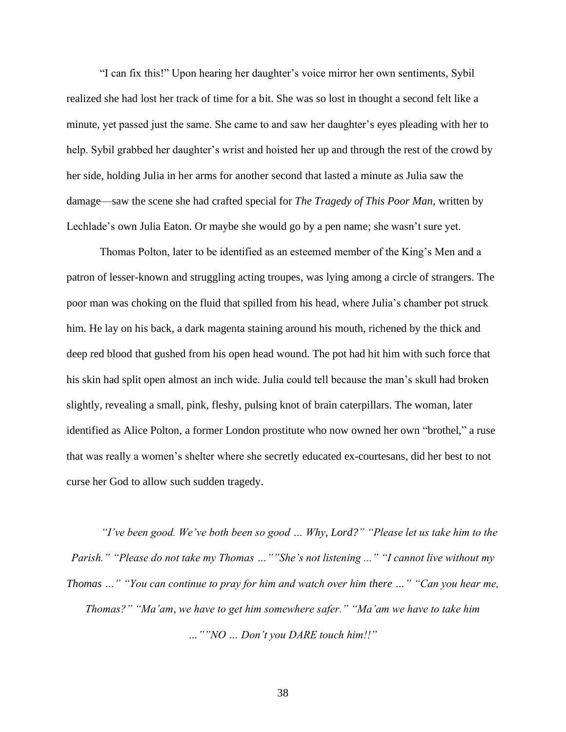"I can fix this!" Upon hearing her daughter's voice mirror her own sentiments, Sybil realized she had lost her track of time for a bit. She was so lost in thought a second felt like a minute, yet passed just the same. She came to and saw her daughter's eyes pleading with her to help. Sybil grabbed her daughter's wrist and hoisted her up and through the rest of the crowd by her side, holding Julia in her arms for another second that lasted a minute as Julia saw the damage—saw the scene she had crafted special for *The Tragedy of This Poor Man*, written by Lechlade's own Julia Eaton. Or maybe she would go by a pen name; she wasn't sure yet.

Thomas Polton, later to be identified as an esteemed member of the King's Men and a patron of lesser-known and struggling acting troupes, was lying among a circle of strangers. The poor man was choking on the fluid that spilled from his head, where Julia's chamber pot struck him. He lay on his back, a dark magenta staining around his mouth, richened by the thick and deep red blood that gushed from his open head wound. The pot had hit him with such force that his skin had split open almost an inch wide. Julia could tell because the man's skull had broken slightly, revealing a small, pink, fleshy, pulsing knot of brain caterpillars. The woman, later identified as Alice Polton, a former London prostitute who now owned her own "brothel," a ruse that was really a women's shelter where she secretly educated ex-courtesans, did her best to not curse her God to allow such sudden tragedy.

*"I've been good. We've both been so good … Why, Lord?" "Please let us take him to the Parish." "Please do not take my Thomas …""She's not listening ..." "I cannot live without my Thomas …" "You can continue to pray for him and watch over him there …" "Can you hear me, Thomas?" "Ma'am, we have to get him somewhere safer." "Ma'am we have to take him …""NO … Don't you DARE touch him!!"*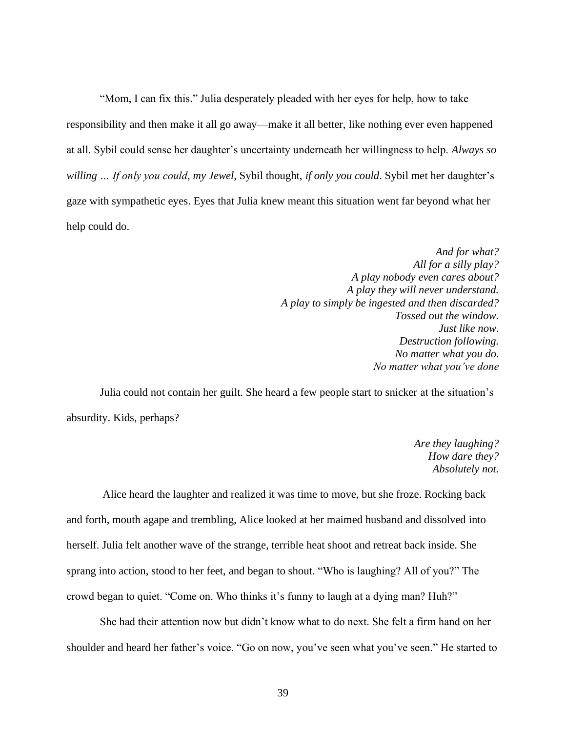"Mom, I can fix this." Julia desperately pleaded with her eyes for help, how to take responsibility and then make it all go away—make it all better, like nothing ever even happened at all. Sybil could sense her daughter's uncertainty underneath her willingness to help. *Always so willing … If only you could, my Jewel,* Sybil thought, *if only you could*. Sybil met her daughter's gaze with sympathetic eyes. Eyes that Julia knew meant this situation went far beyond what her help could do.

> *And for what? All for a silly play? A play nobody even cares about? A play they will never understand. A play to simply be ingested and then discarded? Tossed out the window. Just like now. Destruction following. No matter what you do. No matter what you've done*

Julia could not contain her guilt. She heard a few people start to snicker at the situation's absurdity. Kids, perhaps?

> *Are they laughing? How dare they? Absolutely not.*

Alice heard the laughter and realized it was time to move, but she froze. Rocking back and forth, mouth agape and trembling, Alice looked at her maimed husband and dissolved into herself. Julia felt another wave of the strange, terrible heat shoot and retreat back inside. She sprang into action, stood to her feet, and began to shout. "Who is laughing? All of you?" The crowd began to quiet. "Come on. Who thinks it's funny to laugh at a dying man? Huh?"

She had their attention now but didn't know what to do next. She felt a firm hand on her shoulder and heard her father's voice. "Go on now, you've seen what you've seen." He started to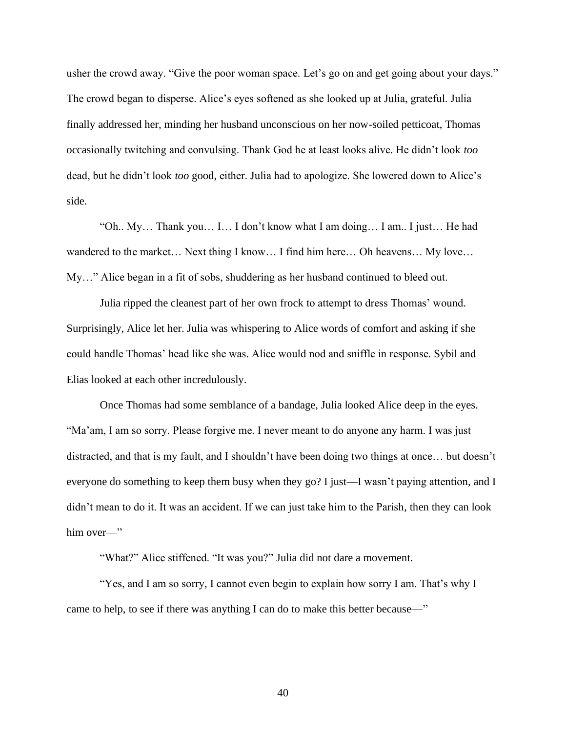usher the crowd away. "Give the poor woman space. Let's go on and get going about your days." The crowd began to disperse. Alice's eyes softened as she looked up at Julia, grateful. Julia finally addressed her, minding her husband unconscious on her now-soiled petticoat, Thomas occasionally twitching and convulsing. Thank God he at least looks alive. He didn't look *too* dead, but he didn't look *too* good, either. Julia had to apologize. She lowered down to Alice's side.

"Oh.. My… Thank you… I… I don't know what I am doing… I am.. I just… He had wandered to the market… Next thing I know… I find him here… Oh heavens… My love… My…" Alice began in a fit of sobs, shuddering as her husband continued to bleed out.

Julia ripped the cleanest part of her own frock to attempt to dress Thomas' wound. Surprisingly, Alice let her. Julia was whispering to Alice words of comfort and asking if she could handle Thomas' head like she was. Alice would nod and sniffle in response. Sybil and Elias looked at each other incredulously.

Once Thomas had some semblance of a bandage, Julia looked Alice deep in the eyes. "Ma'am, I am so sorry. Please forgive me. I never meant to do anyone any harm. I was just distracted, and that is my fault, and I shouldn't have been doing two things at once… but doesn't everyone do something to keep them busy when they go? I just—I wasn't paying attention, and I didn't mean to do it. It was an accident. If we can just take him to the Parish, then they can look him over—"

"What?" Alice stiffened. "It was you?" Julia did not dare a movement.

"Yes, and I am so sorry, I cannot even begin to explain how sorry I am. That's why I came to help, to see if there was anything I can do to make this better because—"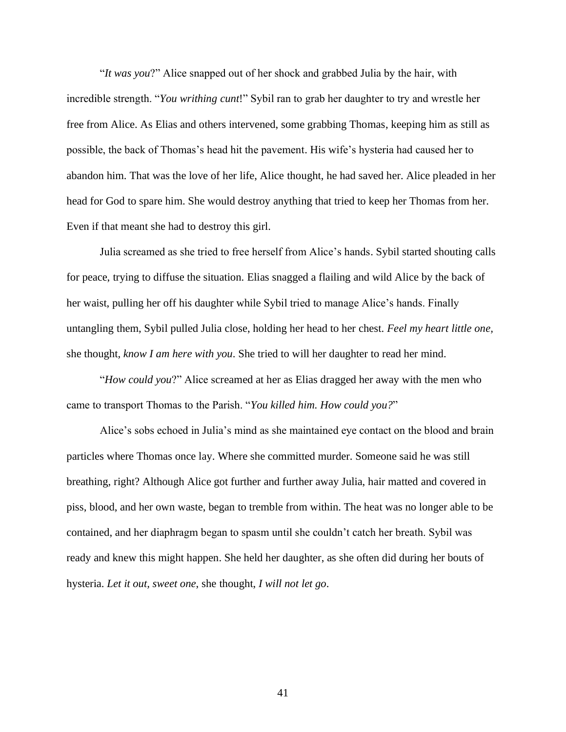"*It was you*?" Alice snapped out of her shock and grabbed Julia by the hair, with incredible strength. "*You writhing cunt*!" Sybil ran to grab her daughter to try and wrestle her free from Alice. As Elias and others intervened, some grabbing Thomas, keeping him as still as possible, the back of Thomas's head hit the pavement. His wife's hysteria had caused her to abandon him. That was the love of her life, Alice thought, he had saved her. Alice pleaded in her head for God to spare him. She would destroy anything that tried to keep her Thomas from her. Even if that meant she had to destroy this girl.

Julia screamed as she tried to free herself from Alice's hands. Sybil started shouting calls for peace, trying to diffuse the situation. Elias snagged a flailing and wild Alice by the back of her waist, pulling her off his daughter while Sybil tried to manage Alice's hands. Finally untangling them, Sybil pulled Julia close, holding her head to her chest. *Feel my heart little one,*  she thought*, know I am here with you*. She tried to will her daughter to read her mind.

"*How could you*?" Alice screamed at her as Elias dragged her away with the men who came to transport Thomas to the Parish. "*You killed him. How could you?*"

Alice's sobs echoed in Julia's mind as she maintained eye contact on the blood and brain particles where Thomas once lay. Where she committed murder. Someone said he was still breathing, right? Although Alice got further and further away Julia, hair matted and covered in piss, blood, and her own waste, began to tremble from within. The heat was no longer able to be contained, and her diaphragm began to spasm until she couldn't catch her breath. Sybil was ready and knew this might happen. She held her daughter, as she often did during her bouts of hysteria. *Let it out, sweet one*, she thought, *I will not let go*.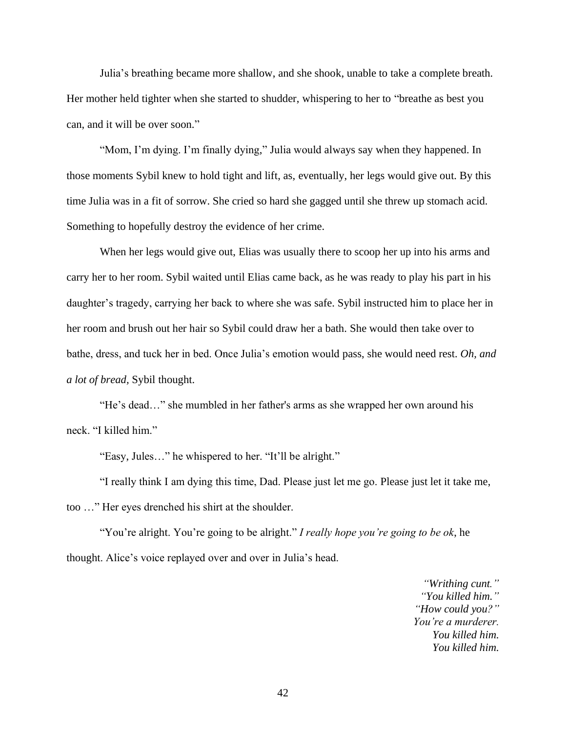Julia's breathing became more shallow, and she shook, unable to take a complete breath. Her mother held tighter when she started to shudder, whispering to her to "breathe as best you can, and it will be over soon."

"Mom, I'm dying. I'm finally dying," Julia would always say when they happened. In those moments Sybil knew to hold tight and lift, as, eventually, her legs would give out. By this time Julia was in a fit of sorrow. She cried so hard she gagged until she threw up stomach acid. Something to hopefully destroy the evidence of her crime.

When her legs would give out, Elias was usually there to scoop her up into his arms and carry her to her room. Sybil waited until Elias came back, as he was ready to play his part in his daughter's tragedy, carrying her back to where she was safe. Sybil instructed him to place her in her room and brush out her hair so Sybil could draw her a bath. She would then take over to bathe, dress, and tuck her in bed. Once Julia's emotion would pass, she would need rest. *Oh, and a lot of bread,* Sybil thought.

"He's dead…" she mumbled in her father's arms as she wrapped her own around his neck. "I killed him."

"Easy, Jules…" he whispered to her. "It'll be alright."

"I really think I am dying this time, Dad. Please just let me go. Please just let it take me, too …" Her eyes drenched his shirt at the shoulder.

"You're alright. You're going to be alright." *I really hope you're going to be ok*, he thought. Alice's voice replayed over and over in Julia's head.

> *"Writhing cunt." "You killed him." "How could you?" You're a murderer. You killed him. You killed him.*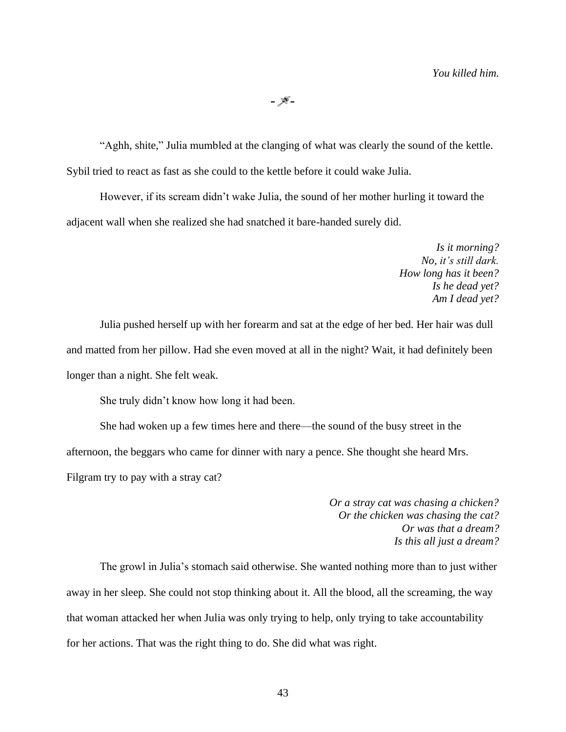--

"Aghh, shite," Julia mumbled at the clanging of what was clearly the sound of the kettle. Sybil tried to react as fast as she could to the kettle before it could wake Julia.

However, if its scream didn't wake Julia, the sound of her mother hurling it toward the adjacent wall when she realized she had snatched it bare-handed surely did.

> *Is it morning? No, it's still dark. How long has it been? Is he dead yet? Am I dead yet?*

Julia pushed herself up with her forearm and sat at the edge of her bed. Her hair was dull and matted from her pillow. Had she even moved at all in the night? Wait, it had definitely been longer than a night. She felt weak.

She truly didn't know how long it had been.

She had woken up a few times here and there—the sound of the busy street in the afternoon, the beggars who came for dinner with nary a pence. She thought she heard Mrs. Filgram try to pay with a stray cat?

> *Or a stray cat was chasing a chicken? Or the chicken was chasing the cat? Or was that a dream? Is this all just a dream?*

The growl in Julia's stomach said otherwise. She wanted nothing more than to just wither away in her sleep. She could not stop thinking about it. All the blood, all the screaming, the way that woman attacked her when Julia was only trying to help, only trying to take accountability for her actions. That was the right thing to do. She did what was right.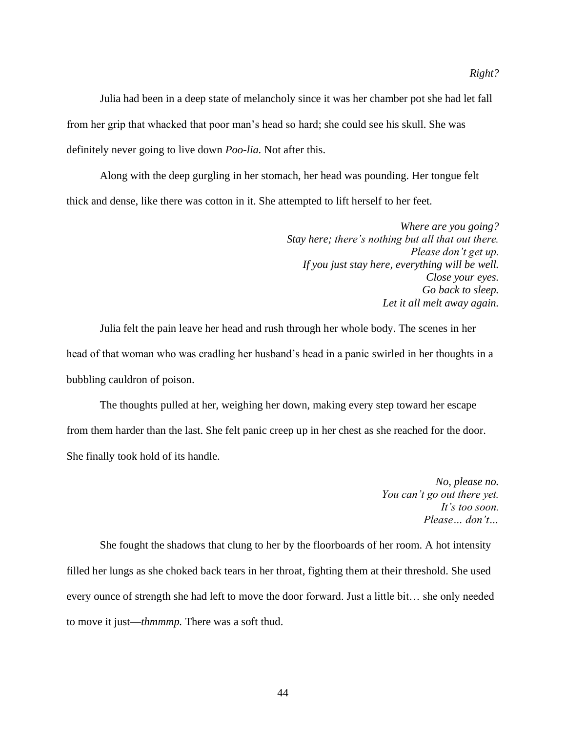Julia had been in a deep state of melancholy since it was her chamber pot she had let fall from her grip that whacked that poor man's head so hard; she could see his skull. She was definitely never going to live down *Poo-lia.* Not after this.

Along with the deep gurgling in her stomach, her head was pounding. Her tongue felt thick and dense, like there was cotton in it. She attempted to lift herself to her feet.

> *Where are you going? Stay here; there's nothing but all that out there. Please don't get up. If you just stay here, everything will be well. Close your eyes. Go back to sleep. Let it all melt away again.*

Julia felt the pain leave her head and rush through her whole body. The scenes in her head of that woman who was cradling her husband's head in a panic swirled in her thoughts in a bubbling cauldron of poison.

The thoughts pulled at her, weighing her down, making every step toward her escape from them harder than the last. She felt panic creep up in her chest as she reached for the door. She finally took hold of its handle.

> *No, please no. You can't go out there yet. It's too soon. Please… don't…*

She fought the shadows that clung to her by the floorboards of her room. A hot intensity filled her lungs as she choked back tears in her throat, fighting them at their threshold. She used every ounce of strength she had left to move the door forward. Just a little bit… she only needed to move it just—*thmmmp.* There was a soft thud.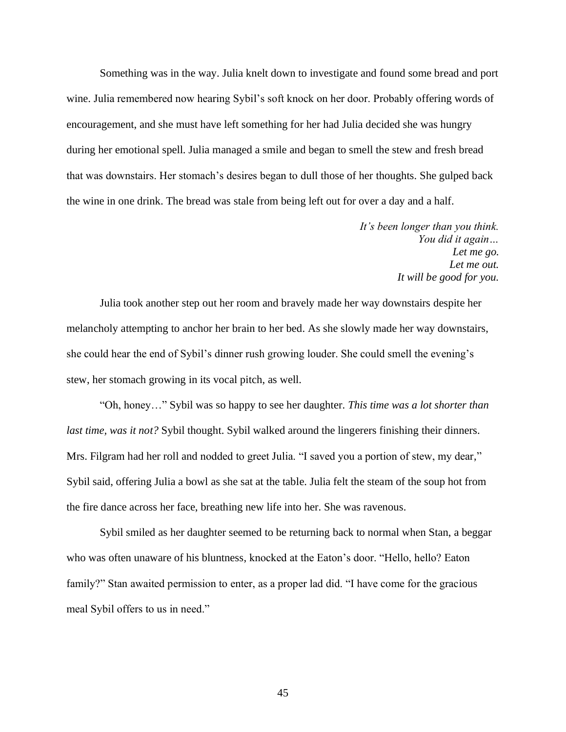Something was in the way. Julia knelt down to investigate and found some bread and port wine. Julia remembered now hearing Sybil's soft knock on her door. Probably offering words of encouragement, and she must have left something for her had Julia decided she was hungry during her emotional spell. Julia managed a smile and began to smell the stew and fresh bread that was downstairs. Her stomach's desires began to dull those of her thoughts. She gulped back the wine in one drink. The bread was stale from being left out for over a day and a half.

> *It's been longer than you think. You did it again… Let me go. Let me out. It will be good for you.*

Julia took another step out her room and bravely made her way downstairs despite her melancholy attempting to anchor her brain to her bed. As she slowly made her way downstairs, she could hear the end of Sybil's dinner rush growing louder. She could smell the evening's stew, her stomach growing in its vocal pitch, as well.

"Oh, honey…" Sybil was so happy to see her daughter. *This time was a lot shorter than last time, was it not?* Sybil thought. Sybil walked around the lingerers finishing their dinners. Mrs. Filgram had her roll and nodded to greet Julia. "I saved you a portion of stew, my dear," Sybil said, offering Julia a bowl as she sat at the table. Julia felt the steam of the soup hot from the fire dance across her face, breathing new life into her. She was ravenous.

Sybil smiled as her daughter seemed to be returning back to normal when Stan, a beggar who was often unaware of his bluntness, knocked at the Eaton's door. "Hello, hello? Eaton family?" Stan awaited permission to enter, as a proper lad did. "I have come for the gracious meal Sybil offers to us in need."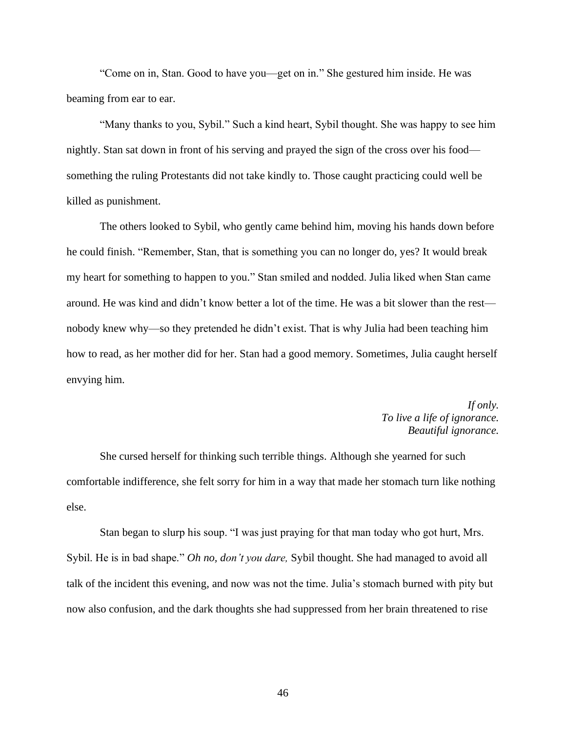"Come on in, Stan. Good to have you—get on in." She gestured him inside. He was beaming from ear to ear.

"Many thanks to you, Sybil." Such a kind heart, Sybil thought. She was happy to see him nightly. Stan sat down in front of his serving and prayed the sign of the cross over his food something the ruling Protestants did not take kindly to. Those caught practicing could well be killed as punishment.

The others looked to Sybil, who gently came behind him, moving his hands down before he could finish. "Remember, Stan, that is something you can no longer do, yes? It would break my heart for something to happen to you." Stan smiled and nodded. Julia liked when Stan came around. He was kind and didn't know better a lot of the time. He was a bit slower than the rest nobody knew why—so they pretended he didn't exist. That is why Julia had been teaching him how to read, as her mother did for her. Stan had a good memory. Sometimes, Julia caught herself envying him.

> *If only. To live a life of ignorance. Beautiful ignorance.*

She cursed herself for thinking such terrible things. Although she yearned for such comfortable indifference, she felt sorry for him in a way that made her stomach turn like nothing else.

Stan began to slurp his soup. "I was just praying for that man today who got hurt, Mrs. Sybil. He is in bad shape." *Oh no, don't you dare,* Sybil thought. She had managed to avoid all talk of the incident this evening, and now was not the time. Julia's stomach burned with pity but now also confusion, and the dark thoughts she had suppressed from her brain threatened to rise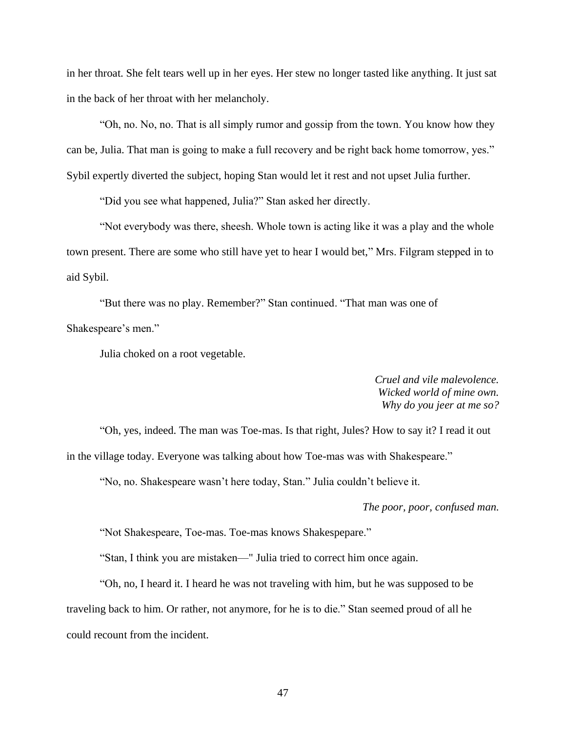in her throat. She felt tears well up in her eyes. Her stew no longer tasted like anything. It just sat in the back of her throat with her melancholy.

"Oh, no. No, no. That is all simply rumor and gossip from the town. You know how they can be, Julia. That man is going to make a full recovery and be right back home tomorrow, yes." Sybil expertly diverted the subject, hoping Stan would let it rest and not upset Julia further.

"Did you see what happened, Julia?" Stan asked her directly.

"Not everybody was there, sheesh. Whole town is acting like it was a play and the whole town present. There are some who still have yet to hear I would bet," Mrs. Filgram stepped in to aid Sybil.

"But there was no play. Remember?" Stan continued. "That man was one of Shakespeare's men."

Julia choked on a root vegetable.

*Cruel and vile malevolence. Wicked world of mine own. Why do you jeer at me so?*

"Oh, yes, indeed. The man was Toe-mas. Is that right, Jules? How to say it? I read it out in the village today. Everyone was talking about how Toe-mas was with Shakespeare."

"No, no. Shakespeare wasn't here today, Stan." Julia couldn't believe it.

*The poor, poor, confused man.*

"Not Shakespeare, Toe-mas. Toe-mas knows Shakespepare."

"Stan, I think you are mistaken—" Julia tried to correct him once again.

"Oh, no, I heard it. I heard he was not traveling with him, but he was supposed to be traveling back to him. Or rather, not anymore, for he is to die." Stan seemed proud of all he could recount from the incident.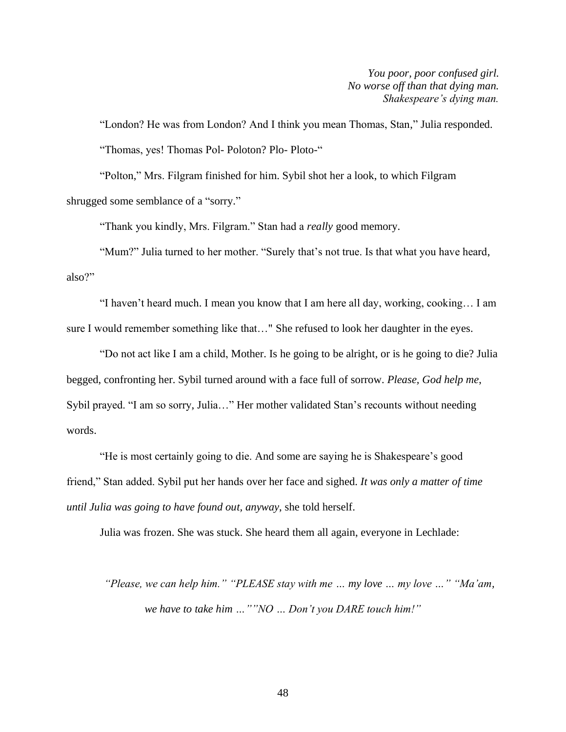"London? He was from London? And I think you mean Thomas, Stan," Julia responded. "Thomas, yes! Thomas Pol- Poloton? Plo- Ploto-"

"Polton," Mrs. Filgram finished for him. Sybil shot her a look, to which Filgram shrugged some semblance of a "sorry."

"Thank you kindly, Mrs. Filgram." Stan had a *really* good memory.

"Mum?" Julia turned to her mother. "Surely that's not true. Is that what you have heard, also?"

"I haven't heard much. I mean you know that I am here all day, working, cooking… I am sure I would remember something like that…" She refused to look her daughter in the eyes.

"Do not act like I am a child, Mother. Is he going to be alright, or is he going to die? Julia begged, confronting her. Sybil turned around with a face full of sorrow. *Please, God help me*, Sybil prayed. "I am so sorry, Julia…" Her mother validated Stan's recounts without needing words.

"He is most certainly going to die. And some are saying he is Shakespeare's good friend," Stan added. Sybil put her hands over her face and sighed. *It was only a matter of time until Julia was going to have found out, anyway*, she told herself.

Julia was frozen. She was stuck. She heard them all again, everyone in Lechlade:

*"Please, we can help him." "PLEASE stay with me … my love … my love …" "Ma'am, we have to take him …""NO … Don't you DARE touch him!"*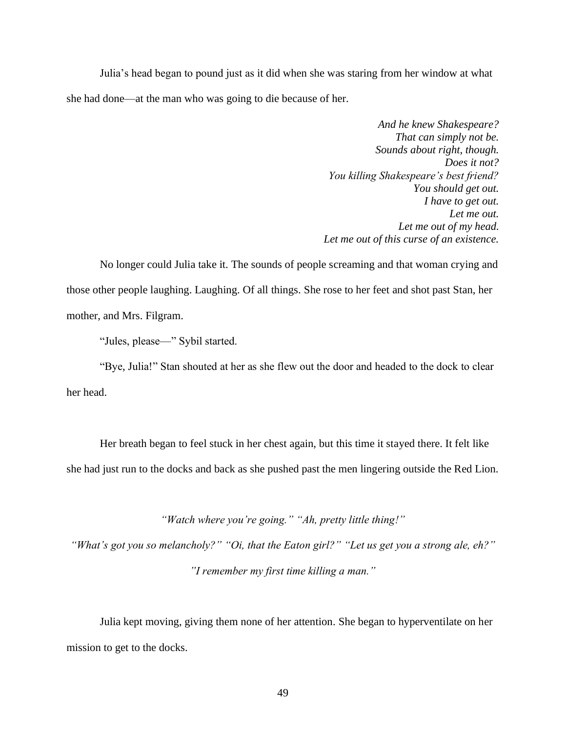Julia's head began to pound just as it did when she was staring from her window at what she had done—at the man who was going to die because of her.

> *And he knew Shakespeare? That can simply not be. Sounds about right, though. Does it not? You killing Shakespeare's best friend? You should get out. I have to get out. Let me out. Let me out of my head. Let me out of this curse of an existence.*

No longer could Julia take it. The sounds of people screaming and that woman crying and those other people laughing. Laughing. Of all things. She rose to her feet and shot past Stan, her mother, and Mrs. Filgram.

"Jules, please—" Sybil started.

"Bye, Julia!" Stan shouted at her as she flew out the door and headed to the dock to clear her head.

Her breath began to feel stuck in her chest again, but this time it stayed there. It felt like she had just run to the docks and back as she pushed past the men lingering outside the Red Lion.

*"Watch where you're going." "Ah, pretty little thing!"*

*"What's got you so melancholy?" "Oi, that the Eaton girl?" "Let us get you a strong ale, eh?" "I remember my first time killing a man."*

Julia kept moving, giving them none of her attention. She began to hyperventilate on her mission to get to the docks.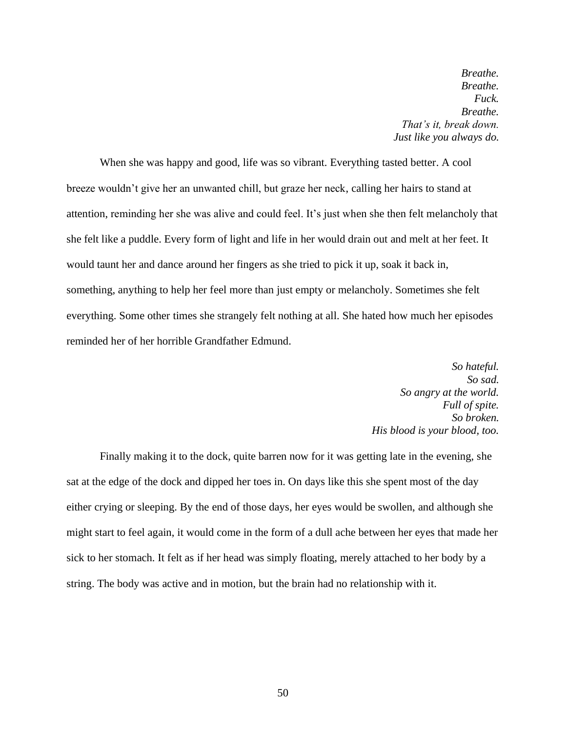*Breathe. Breathe. Fuck. Breathe. That's it, break down. Just like you always do.*

When she was happy and good, life was so vibrant. Everything tasted better. A cool breeze wouldn't give her an unwanted chill, but graze her neck, calling her hairs to stand at attention, reminding her she was alive and could feel. It's just when she then felt melancholy that she felt like a puddle. Every form of light and life in her would drain out and melt at her feet. It would taunt her and dance around her fingers as she tried to pick it up, soak it back in, something, anything to help her feel more than just empty or melancholy. Sometimes she felt everything. Some other times she strangely felt nothing at all. She hated how much her episodes reminded her of her horrible Grandfather Edmund.

> *So hateful. So sad. So angry at the world. Full of spite. So broken. His blood is your blood, too.*

Finally making it to the dock, quite barren now for it was getting late in the evening, she sat at the edge of the dock and dipped her toes in. On days like this she spent most of the day either crying or sleeping. By the end of those days, her eyes would be swollen, and although she might start to feel again, it would come in the form of a dull ache between her eyes that made her sick to her stomach. It felt as if her head was simply floating, merely attached to her body by a string. The body was active and in motion, but the brain had no relationship with it.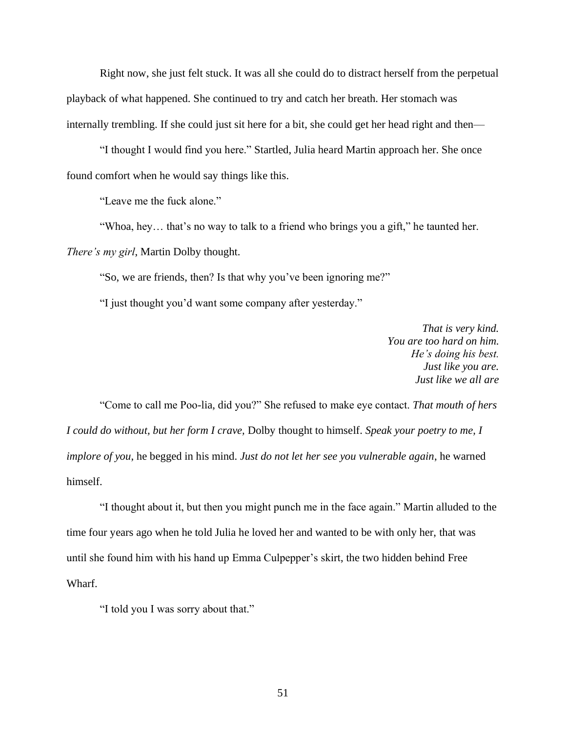Right now, she just felt stuck. It was all she could do to distract herself from the perpetual playback of what happened. She continued to try and catch her breath. Her stomach was internally trembling. If she could just sit here for a bit, she could get her head right and then—

"I thought I would find you here." Startled, Julia heard Martin approach her. She once found comfort when he would say things like this.

"Leave me the fuck alone."

"Whoa, hey… that's no way to talk to a friend who brings you a gift," he taunted her. *There's my girl*, Martin Dolby thought.

"So, we are friends, then? Is that why you've been ignoring me?"

"I just thought you'd want some company after yesterday."

*That is very kind. You are too hard on him. He's doing his best. Just like you are. Just like we all are*

"Come to call me Poo-lia, did you?" She refused to make eye contact. *That mouth of hers I could do without, but her form I crave,* Dolby thought to himself. *Speak your poetry to me, I implore of you*, he begged in his mind. *Just do not let her see you vulnerable again*, he warned himself.

"I thought about it, but then you might punch me in the face again." Martin alluded to the time four years ago when he told Julia he loved her and wanted to be with only her, that was until she found him with his hand up Emma Culpepper's skirt, the two hidden behind Free Wharf.

"I told you I was sorry about that."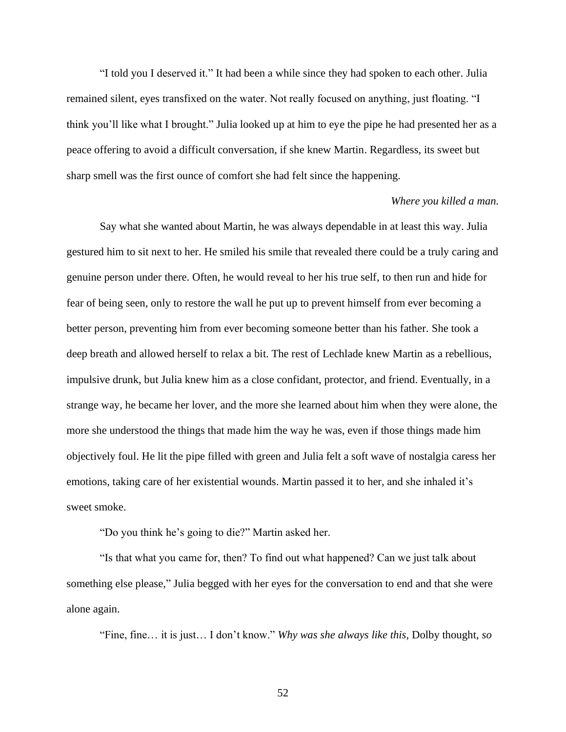"I told you I deserved it." It had been a while since they had spoken to each other. Julia remained silent, eyes transfixed on the water. Not really focused on anything, just floating. "I think you'll like what I brought." Julia looked up at him to eye the pipe he had presented her as a peace offering to avoid a difficult conversation, if she knew Martin. Regardless, its sweet but sharp smell was the first ounce of comfort she had felt since the happening.

## *Where you killed a man.*

Say what she wanted about Martin, he was always dependable in at least this way. Julia gestured him to sit next to her. He smiled his smile that revealed there could be a truly caring and genuine person under there. Often, he would reveal to her his true self, to then run and hide for fear of being seen, only to restore the wall he put up to prevent himself from ever becoming a better person, preventing him from ever becoming someone better than his father. She took a deep breath and allowed herself to relax a bit. The rest of Lechlade knew Martin as a rebellious, impulsive drunk, but Julia knew him as a close confidant, protector, and friend. Eventually, in a strange way, he became her lover, and the more she learned about him when they were alone, the more she understood the things that made him the way he was, even if those things made him objectively foul. He lit the pipe filled with green and Julia felt a soft wave of nostalgia caress her emotions, taking care of her existential wounds. Martin passed it to her, and she inhaled it's sweet smoke.

"Do you think he's going to die?" Martin asked her.

"Is that what you came for, then? To find out what happened? Can we just talk about something else please," Julia begged with her eyes for the conversation to end and that she were alone again.

"Fine, fine… it is just… I don't know." *Why was she always like this,* Dolby thought, *so*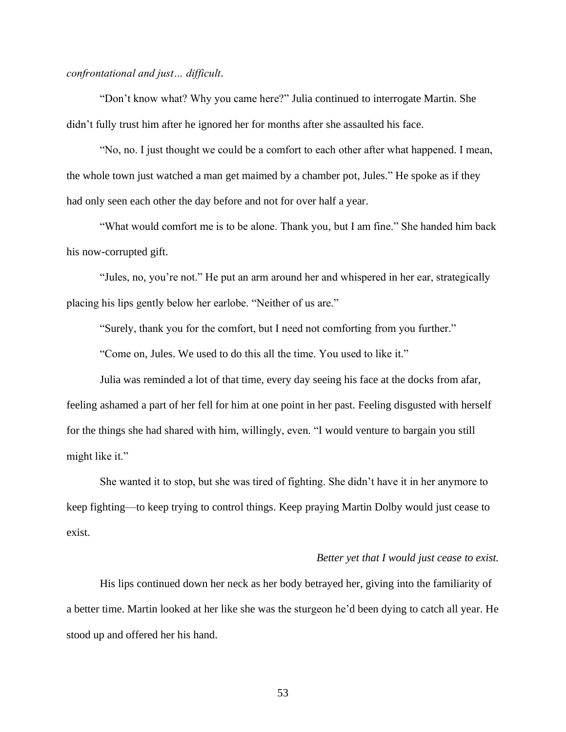*confrontational and just… difficult*.

 "Don't know what? Why you came here?" Julia continued to interrogate Martin. She didn't fully trust him after he ignored her for months after she assaulted his face.

"No, no. I just thought we could be a comfort to each other after what happened. I mean, the whole town just watched a man get maimed by a chamber pot, Jules." He spoke as if they had only seen each other the day before and not for over half a year.

"What would comfort me is to be alone. Thank you, but I am fine." She handed him back his now-corrupted gift.

"Jules, no, you're not." He put an arm around her and whispered in her ear, strategically placing his lips gently below her earlobe. "Neither of us are."

"Surely, thank you for the comfort, but I need not comforting from you further."

"Come on, Jules. We used to do this all the time. You used to like it."

Julia was reminded a lot of that time, every day seeing his face at the docks from afar, feeling ashamed a part of her fell for him at one point in her past. Feeling disgusted with herself for the things she had shared with him, willingly, even. "I would venture to bargain you still might like it."

She wanted it to stop, but she was tired of fighting. She didn't have it in her anymore to keep fighting—to keep trying to control things. Keep praying Martin Dolby would just cease to exist.

### *Better yet that I would just cease to exist.*

His lips continued down her neck as her body betrayed her, giving into the familiarity of a better time. Martin looked at her like she was the sturgeon he'd been dying to catch all year. He stood up and offered her his hand.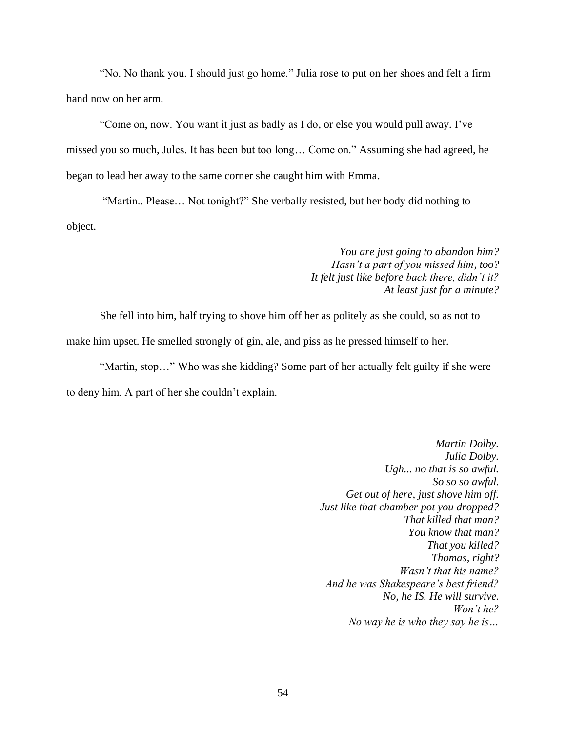"No. No thank you. I should just go home." Julia rose to put on her shoes and felt a firm hand now on her arm.

"Come on, now. You want it just as badly as I do, or else you would pull away. I've missed you so much, Jules. It has been but too long… Come on." Assuming she had agreed, he began to lead her away to the same corner she caught him with Emma.

"Martin.. Please… Not tonight?" She verbally resisted, but her body did nothing to object.

> *You are just going to abandon him? Hasn't a part of you missed him, too? It felt just like before back there, didn't it? At least just for a minute?*

She fell into him, half trying to shove him off her as politely as she could, so as not to make him upset. He smelled strongly of gin, ale, and piss as he pressed himself to her.

"Martin, stop…" Who was she kidding? Some part of her actually felt guilty if she were to deny him. A part of her she couldn't explain.

> *Martin Dolby. Julia Dolby. Ugh... no that is so awful. So so so awful. Get out of here, just shove him off. Just like that chamber pot you dropped? That killed that man? You know that man? That you killed? Thomas, right? Wasn't that his name? And he was Shakespeare's best friend? No, he IS. He will survive. Won't he? No way he is who they say he is…*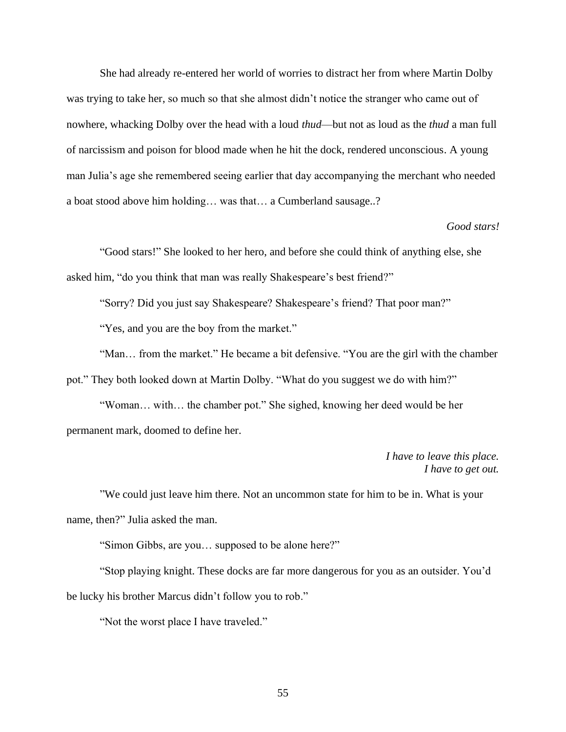She had already re-entered her world of worries to distract her from where Martin Dolby was trying to take her, so much so that she almost didn't notice the stranger who came out of nowhere, whacking Dolby over the head with a loud *thud*—but not as loud as the *thud* a man full of narcissism and poison for blood made when he hit the dock, rendered unconscious. A young man Julia's age she remembered seeing earlier that day accompanying the merchant who needed a boat stood above him holding… was that… a Cumberland sausage..?

## *Good stars!*

"Good stars!" She looked to her hero, and before she could think of anything else, she asked him, "do you think that man was really Shakespeare's best friend?"

"Sorry? Did you just say Shakespeare? Shakespeare's friend? That poor man?"

"Yes, and you are the boy from the market."

"Man… from the market." He became a bit defensive. "You are the girl with the chamber pot." They both looked down at Martin Dolby. "What do you suggest we do with him?"

"Woman… with… the chamber pot." She sighed, knowing her deed would be her permanent mark, doomed to define her.

> *I have to leave this place. I have to get out.*

"We could just leave him there. Not an uncommon state for him to be in. What is your name, then?" Julia asked the man.

"Simon Gibbs, are you… supposed to be alone here?"

"Stop playing knight. These docks are far more dangerous for you as an outsider. You'd be lucky his brother Marcus didn't follow you to rob."

"Not the worst place I have traveled."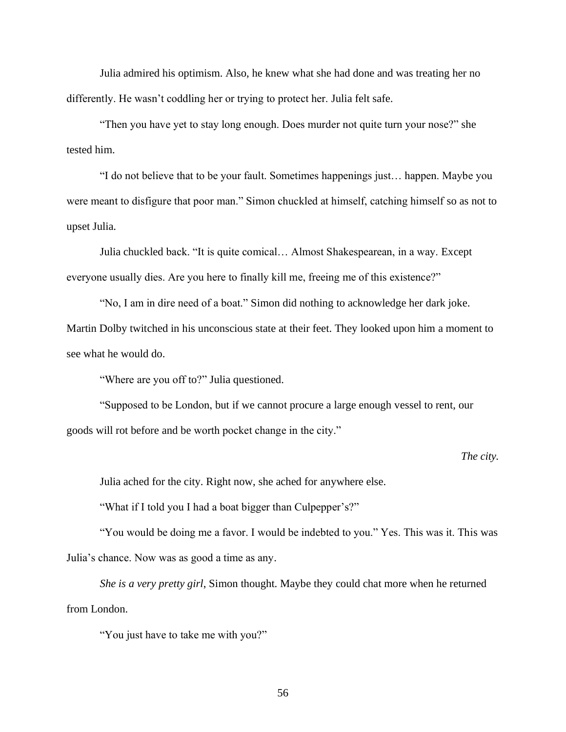Julia admired his optimism. Also, he knew what she had done and was treating her no differently. He wasn't coddling her or trying to protect her. Julia felt safe.

"Then you have yet to stay long enough. Does murder not quite turn your nose?" she tested him.

"I do not believe that to be your fault. Sometimes happenings just… happen. Maybe you were meant to disfigure that poor man." Simon chuckled at himself, catching himself so as not to upset Julia.

Julia chuckled back. "It is quite comical… Almost Shakespearean, in a way. Except everyone usually dies. Are you here to finally kill me, freeing me of this existence?"

"No, I am in dire need of a boat." Simon did nothing to acknowledge her dark joke. Martin Dolby twitched in his unconscious state at their feet. They looked upon him a moment to see what he would do.

"Where are you off to?" Julia questioned.

"Supposed to be London, but if we cannot procure a large enough vessel to rent, our goods will rot before and be worth pocket change in the city."

#### *The city.*

Julia ached for the city. Right now, she ached for anywhere else.

"What if I told you I had a boat bigger than Culpepper's?"

"You would be doing me a favor. I would be indebted to you." Yes. This was it. This was Julia's chance. Now was as good a time as any.

*She is a very pretty girl*, Simon thought. Maybe they could chat more when he returned from London.

"You just have to take me with you?"